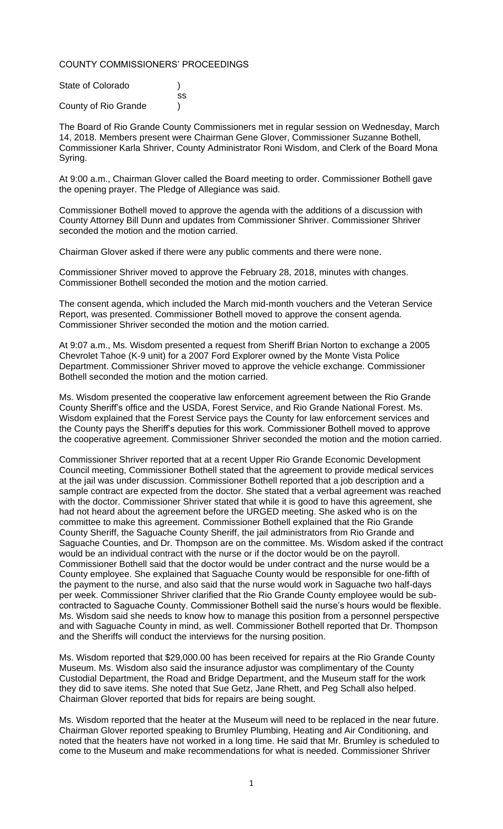### COUNTY COMMISSIONERS' PROCEEDINGS

| State of Colorado    |    |
|----------------------|----|
|                      | SS |
| County of Rio Grande |    |

The Board of Rio Grande County Commissioners met in regular session on Wednesday, March 14, 2018. Members present were Chairman Gene Glover, Commissioner Suzanne Bothell, Commissioner Karla Shriver, County Administrator Roni Wisdom, and Clerk of the Board Mona Syring.

At 9:00 a.m., Chairman Glover called the Board meeting to order. Commissioner Bothell gave the opening prayer. The Pledge of Allegiance was said.

Commissioner Bothell moved to approve the agenda with the additions of a discussion with County Attorney Bill Dunn and updates from Commissioner Shriver. Commissioner Shriver seconded the motion and the motion carried.

Chairman Glover asked if there were any public comments and there were none.

Commissioner Shriver moved to approve the February 28, 2018, minutes with changes. Commissioner Bothell seconded the motion and the motion carried.

The consent agenda, which included the March mid-month vouchers and the Veteran Service Report, was presented. Commissioner Bothell moved to approve the consent agenda. Commissioner Shriver seconded the motion and the motion carried.

At 9:07 a.m., Ms. Wisdom presented a request from Sheriff Brian Norton to exchange a 2005 Chevrolet Tahoe (K-9 unit) for a 2007 Ford Explorer owned by the Monte Vista Police Department. Commissioner Shriver moved to approve the vehicle exchange. Commissioner Bothell seconded the motion and the motion carried.

Ms. Wisdom presented the cooperative law enforcement agreement between the Rio Grande County Sheriff's office and the USDA, Forest Service, and Rio Grande National Forest. Ms. Wisdom explained that the Forest Service pays the County for law enforcement services and the County pays the Sheriff's deputies for this work. Commissioner Bothell moved to approve the cooperative agreement. Commissioner Shriver seconded the motion and the motion carried.

Commissioner Shriver reported that at a recent Upper Rio Grande Economic Development Council meeting, Commissioner Bothell stated that the agreement to provide medical services at the jail was under discussion. Commissioner Bothell reported that a job description and a sample contract are expected from the doctor. She stated that a verbal agreement was reached with the doctor. Commissioner Shriver stated that while it is good to have this agreement, she had not heard about the agreement before the URGED meeting. She asked who is on the committee to make this agreement. Commissioner Bothell explained that the Rio Grande County Sheriff, the Saguache County Sheriff, the jail administrators from Rio Grande and Saguache Counties, and Dr. Thompson are on the committee. Ms. Wisdom asked if the contract would be an individual contract with the nurse or if the doctor would be on the payroll. Commissioner Bothell said that the doctor would be under contract and the nurse would be a County employee. She explained that Saguache County would be responsible for one-fifth of the payment to the nurse, and also said that the nurse would work in Saguache two half-days per week. Commissioner Shriver clarified that the Rio Grande County employee would be subcontracted to Saguache County. Commissioner Bothell said the nurse's hours would be flexible. Ms. Wisdom said she needs to know how to manage this position from a personnel perspective and with Saguache County in mind, as well. Commissioner Bothell reported that Dr. Thompson and the Sheriffs will conduct the interviews for the nursing position.

Ms. Wisdom reported that \$29,000.00 has been received for repairs at the Rio Grande County Museum. Ms. Wisdom also said the insurance adjustor was complimentary of the County Custodial Department, the Road and Bridge Department, and the Museum staff for the work they did to save items. She noted that Sue Getz, Jane Rhett, and Peg Schall also helped. Chairman Glover reported that bids for repairs are being sought.

Ms. Wisdom reported that the heater at the Museum will need to be replaced in the near future. Chairman Glover reported speaking to Brumley Plumbing, Heating and Air Conditioning, and noted that the heaters have not worked in a long time. He said that Mr. Brumley is scheduled to come to the Museum and make recommendations for what is needed. Commissioner Shriver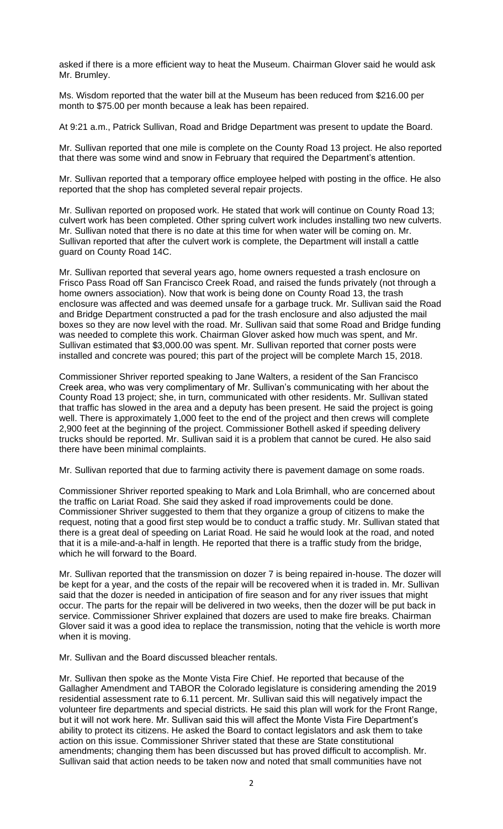asked if there is a more efficient way to heat the Museum. Chairman Glover said he would ask Mr. Brumley.

Ms. Wisdom reported that the water bill at the Museum has been reduced from \$216.00 per month to \$75.00 per month because a leak has been repaired.

At 9:21 a.m., Patrick Sullivan, Road and Bridge Department was present to update the Board.

Mr. Sullivan reported that one mile is complete on the County Road 13 project. He also reported that there was some wind and snow in February that required the Department's attention.

Mr. Sullivan reported that a temporary office employee helped with posting in the office. He also reported that the shop has completed several repair projects.

Mr. Sullivan reported on proposed work. He stated that work will continue on County Road 13; culvert work has been completed. Other spring culvert work includes installing two new culverts. Mr. Sullivan noted that there is no date at this time for when water will be coming on. Mr. Sullivan reported that after the culvert work is complete, the Department will install a cattle guard on County Road 14C.

Mr. Sullivan reported that several years ago, home owners requested a trash enclosure on Frisco Pass Road off San Francisco Creek Road, and raised the funds privately (not through a home owners association). Now that work is being done on County Road 13, the trash enclosure was affected and was deemed unsafe for a garbage truck. Mr. Sullivan said the Road and Bridge Department constructed a pad for the trash enclosure and also adjusted the mail boxes so they are now level with the road. Mr. Sullivan said that some Road and Bridge funding was needed to complete this work. Chairman Glover asked how much was spent, and Mr. Sullivan estimated that \$3,000.00 was spent. Mr. Sullivan reported that corner posts were installed and concrete was poured; this part of the project will be complete March 15, 2018.

Commissioner Shriver reported speaking to Jane Walters, a resident of the San Francisco Creek area, who was very complimentary of Mr. Sullivan's communicating with her about the County Road 13 project; she, in turn, communicated with other residents. Mr. Sullivan stated that traffic has slowed in the area and a deputy has been present. He said the project is going well. There is approximately 1,000 feet to the end of the project and then crews will complete 2,900 feet at the beginning of the project. Commissioner Bothell asked if speeding delivery trucks should be reported. Mr. Sullivan said it is a problem that cannot be cured. He also said there have been minimal complaints.

Mr. Sullivan reported that due to farming activity there is pavement damage on some roads.

Commissioner Shriver reported speaking to Mark and Lola Brimhall, who are concerned about the traffic on Lariat Road. She said they asked if road improvements could be done. Commissioner Shriver suggested to them that they organize a group of citizens to make the request, noting that a good first step would be to conduct a traffic study. Mr. Sullivan stated that there is a great deal of speeding on Lariat Road. He said he would look at the road, and noted that it is a mile-and-a-half in length. He reported that there is a traffic study from the bridge, which he will forward to the Board.

Mr. Sullivan reported that the transmission on dozer 7 is being repaired in-house. The dozer will be kept for a year, and the costs of the repair will be recovered when it is traded in. Mr. Sullivan said that the dozer is needed in anticipation of fire season and for any river issues that might occur. The parts for the repair will be delivered in two weeks, then the dozer will be put back in service. Commissioner Shriver explained that dozers are used to make fire breaks. Chairman Glover said it was a good idea to replace the transmission, noting that the vehicle is worth more when it is moving.

Mr. Sullivan and the Board discussed bleacher rentals.

Mr. Sullivan then spoke as the Monte Vista Fire Chief. He reported that because of the Gallagher Amendment and TABOR the Colorado legislature is considering amending the 2019 residential assessment rate to 6.11 percent. Mr. Sullivan said this will negatively impact the volunteer fire departments and special districts. He said this plan will work for the Front Range, but it will not work here. Mr. Sullivan said this will affect the Monte Vista Fire Department's ability to protect its citizens. He asked the Board to contact legislators and ask them to take action on this issue. Commissioner Shriver stated that these are State constitutional amendments; changing them has been discussed but has proved difficult to accomplish. Mr. Sullivan said that action needs to be taken now and noted that small communities have not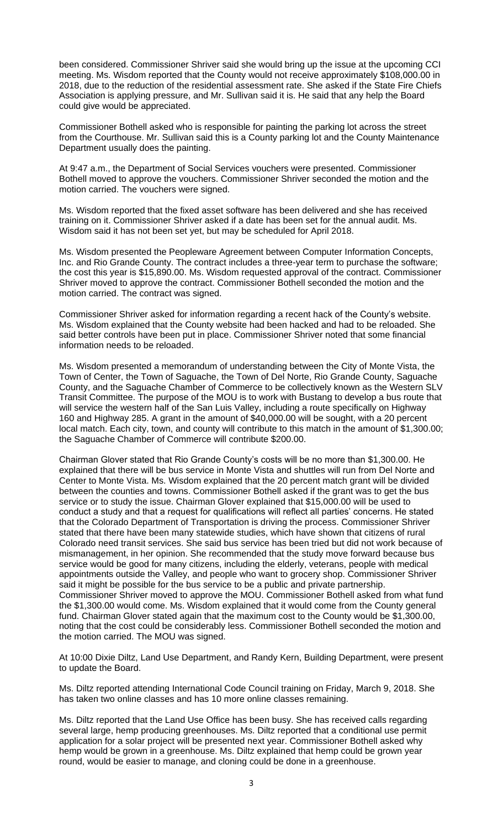been considered. Commissioner Shriver said she would bring up the issue at the upcoming CCI meeting. Ms. Wisdom reported that the County would not receive approximately \$108,000.00 in 2018, due to the reduction of the residential assessment rate. She asked if the State Fire Chiefs Association is applying pressure, and Mr. Sullivan said it is. He said that any help the Board could give would be appreciated.

Commissioner Bothell asked who is responsible for painting the parking lot across the street from the Courthouse. Mr. Sullivan said this is a County parking lot and the County Maintenance Department usually does the painting.

At 9:47 a.m., the Department of Social Services vouchers were presented. Commissioner Bothell moved to approve the vouchers. Commissioner Shriver seconded the motion and the motion carried. The vouchers were signed.

Ms. Wisdom reported that the fixed asset software has been delivered and she has received training on it. Commissioner Shriver asked if a date has been set for the annual audit. Ms. Wisdom said it has not been set yet, but may be scheduled for April 2018.

Ms. Wisdom presented the Peopleware Agreement between Computer Information Concepts, Inc. and Rio Grande County. The contract includes a three-year term to purchase the software; the cost this year is \$15,890.00. Ms. Wisdom requested approval of the contract. Commissioner Shriver moved to approve the contract. Commissioner Bothell seconded the motion and the motion carried. The contract was signed.

Commissioner Shriver asked for information regarding a recent hack of the County's website. Ms. Wisdom explained that the County website had been hacked and had to be reloaded. She said better controls have been put in place. Commissioner Shriver noted that some financial information needs to be reloaded.

Ms. Wisdom presented a memorandum of understanding between the City of Monte Vista, the Town of Center, the Town of Saguache, the Town of Del Norte, Rio Grande County, Saguache County, and the Saguache Chamber of Commerce to be collectively known as the Western SLV Transit Committee. The purpose of the MOU is to work with Bustang to develop a bus route that will service the western half of the San Luis Valley, including a route specifically on Highway 160 and Highway 285. A grant in the amount of \$40,000.00 will be sought, with a 20 percent local match. Each city, town, and county will contribute to this match in the amount of \$1,300.00; the Saguache Chamber of Commerce will contribute \$200.00.

Chairman Glover stated that Rio Grande County's costs will be no more than \$1,300.00. He explained that there will be bus service in Monte Vista and shuttles will run from Del Norte and Center to Monte Vista. Ms. Wisdom explained that the 20 percent match grant will be divided between the counties and towns. Commissioner Bothell asked if the grant was to get the bus service or to study the issue. Chairman Glover explained that \$15,000.00 will be used to conduct a study and that a request for qualifications will reflect all parties' concerns. He stated that the Colorado Department of Transportation is driving the process. Commissioner Shriver stated that there have been many statewide studies, which have shown that citizens of rural Colorado need transit services. She said bus service has been tried but did not work because of mismanagement, in her opinion. She recommended that the study move forward because bus service would be good for many citizens, including the elderly, veterans, people with medical appointments outside the Valley, and people who want to grocery shop. Commissioner Shriver said it might be possible for the bus service to be a public and private partnership. Commissioner Shriver moved to approve the MOU. Commissioner Bothell asked from what fund the \$1,300.00 would come. Ms. Wisdom explained that it would come from the County general fund. Chairman Glover stated again that the maximum cost to the County would be \$1,300.00, noting that the cost could be considerably less. Commissioner Bothell seconded the motion and the motion carried. The MOU was signed.

At 10:00 Dixie Diltz, Land Use Department, and Randy Kern, Building Department, were present to update the Board.

Ms. Diltz reported attending International Code Council training on Friday, March 9, 2018. She has taken two online classes and has 10 more online classes remaining.

Ms. Diltz reported that the Land Use Office has been busy. She has received calls regarding several large, hemp producing greenhouses. Ms. Diltz reported that a conditional use permit application for a solar project will be presented next year. Commissioner Bothell asked why hemp would be grown in a greenhouse. Ms. Diltz explained that hemp could be grown year round, would be easier to manage, and cloning could be done in a greenhouse.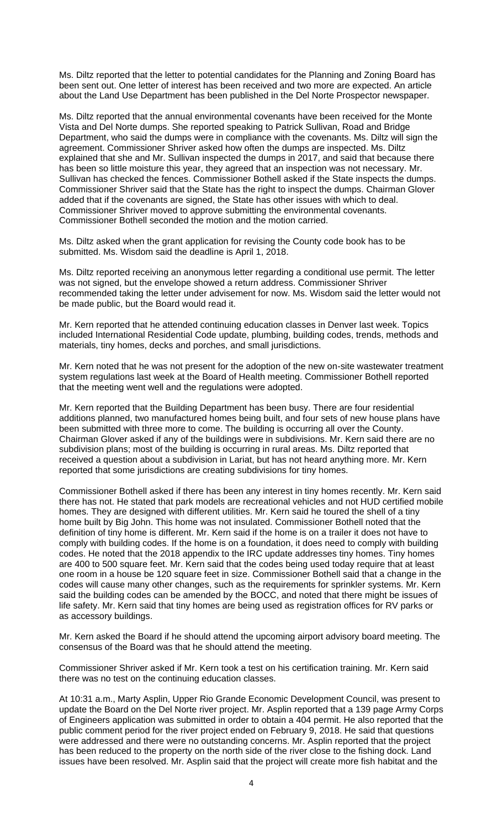Ms. Diltz reported that the letter to potential candidates for the Planning and Zoning Board has been sent out. One letter of interest has been received and two more are expected. An article about the Land Use Department has been published in the Del Norte Prospector newspaper.

Ms. Diltz reported that the annual environmental covenants have been received for the Monte Vista and Del Norte dumps. She reported speaking to Patrick Sullivan, Road and Bridge Department, who said the dumps were in compliance with the covenants. Ms. Diltz will sign the agreement. Commissioner Shriver asked how often the dumps are inspected. Ms. Diltz explained that she and Mr. Sullivan inspected the dumps in 2017, and said that because there has been so little moisture this year, they agreed that an inspection was not necessary. Mr. Sullivan has checked the fences. Commissioner Bothell asked if the State inspects the dumps. Commissioner Shriver said that the State has the right to inspect the dumps. Chairman Glover added that if the covenants are signed, the State has other issues with which to deal. Commissioner Shriver moved to approve submitting the environmental covenants. Commissioner Bothell seconded the motion and the motion carried.

Ms. Diltz asked when the grant application for revising the County code book has to be submitted. Ms. Wisdom said the deadline is April 1, 2018.

Ms. Diltz reported receiving an anonymous letter regarding a conditional use permit. The letter was not signed, but the envelope showed a return address. Commissioner Shriver recommended taking the letter under advisement for now. Ms. Wisdom said the letter would not be made public, but the Board would read it.

Mr. Kern reported that he attended continuing education classes in Denver last week. Topics included International Residential Code update, plumbing, building codes, trends, methods and materials, tiny homes, decks and porches, and small jurisdictions.

Mr. Kern noted that he was not present for the adoption of the new on-site wastewater treatment system regulations last week at the Board of Health meeting. Commissioner Bothell reported that the meeting went well and the regulations were adopted.

Mr. Kern reported that the Building Department has been busy. There are four residential additions planned, two manufactured homes being built, and four sets of new house plans have been submitted with three more to come. The building is occurring all over the County. Chairman Glover asked if any of the buildings were in subdivisions. Mr. Kern said there are no subdivision plans; most of the building is occurring in rural areas. Ms. Diltz reported that received a question about a subdivision in Lariat, but has not heard anything more. Mr. Kern reported that some jurisdictions are creating subdivisions for tiny homes.

Commissioner Bothell asked if there has been any interest in tiny homes recently. Mr. Kern said there has not. He stated that park models are recreational vehicles and not HUD certified mobile homes. They are designed with different utilities. Mr. Kern said he toured the shell of a tiny home built by Big John. This home was not insulated. Commissioner Bothell noted that the definition of tiny home is different. Mr. Kern said if the home is on a trailer it does not have to comply with building codes. If the home is on a foundation, it does need to comply with building codes. He noted that the 2018 appendix to the IRC update addresses tiny homes. Tiny homes are 400 to 500 square feet. Mr. Kern said that the codes being used today require that at least one room in a house be 120 square feet in size. Commissioner Bothell said that a change in the codes will cause many other changes, such as the requirements for sprinkler systems. Mr. Kern said the building codes can be amended by the BOCC, and noted that there might be issues of life safety. Mr. Kern said that tiny homes are being used as registration offices for RV parks or as accessory buildings.

Mr. Kern asked the Board if he should attend the upcoming airport advisory board meeting. The consensus of the Board was that he should attend the meeting.

Commissioner Shriver asked if Mr. Kern took a test on his certification training. Mr. Kern said there was no test on the continuing education classes.

At 10:31 a.m., Marty Asplin, Upper Rio Grande Economic Development Council, was present to update the Board on the Del Norte river project. Mr. Asplin reported that a 139 page Army Corps of Engineers application was submitted in order to obtain a 404 permit. He also reported that the public comment period for the river project ended on February 9, 2018. He said that questions were addressed and there were no outstanding concerns. Mr. Asplin reported that the project has been reduced to the property on the north side of the river close to the fishing dock. Land issues have been resolved. Mr. Asplin said that the project will create more fish habitat and the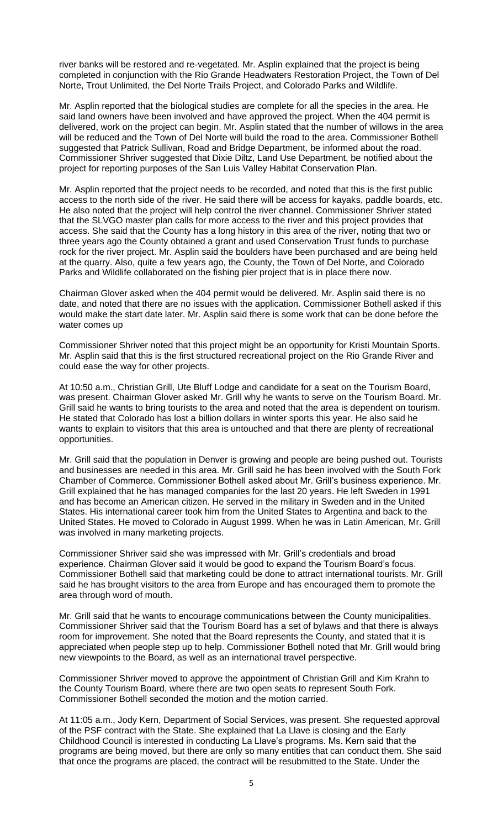river banks will be restored and re-vegetated. Mr. Asplin explained that the project is being completed in conjunction with the Rio Grande Headwaters Restoration Project, the Town of Del Norte, Trout Unlimited, the Del Norte Trails Project, and Colorado Parks and Wildlife.

Mr. Asplin reported that the biological studies are complete for all the species in the area. He said land owners have been involved and have approved the project. When the 404 permit is delivered, work on the project can begin. Mr. Asplin stated that the number of willows in the area will be reduced and the Town of Del Norte will build the road to the area. Commissioner Bothell suggested that Patrick Sullivan, Road and Bridge Department, be informed about the road. Commissioner Shriver suggested that Dixie Diltz, Land Use Department, be notified about the project for reporting purposes of the San Luis Valley Habitat Conservation Plan.

Mr. Asplin reported that the project needs to be recorded, and noted that this is the first public access to the north side of the river. He said there will be access for kayaks, paddle boards, etc. He also noted that the project will help control the river channel. Commissioner Shriver stated that the SLVGO master plan calls for more access to the river and this project provides that access. She said that the County has a long history in this area of the river, noting that two or three years ago the County obtained a grant and used Conservation Trust funds to purchase rock for the river project. Mr. Asplin said the boulders have been purchased and are being held at the quarry. Also, quite a few years ago, the County, the Town of Del Norte, and Colorado Parks and Wildlife collaborated on the fishing pier project that is in place there now.

Chairman Glover asked when the 404 permit would be delivered. Mr. Asplin said there is no date, and noted that there are no issues with the application. Commissioner Bothell asked if this would make the start date later. Mr. Asplin said there is some work that can be done before the water comes up

Commissioner Shriver noted that this project might be an opportunity for Kristi Mountain Sports. Mr. Asplin said that this is the first structured recreational project on the Rio Grande River and could ease the way for other projects.

At 10:50 a.m., Christian Grill, Ute Bluff Lodge and candidate for a seat on the Tourism Board, was present. Chairman Glover asked Mr. Grill why he wants to serve on the Tourism Board. Mr. Grill said he wants to bring tourists to the area and noted that the area is dependent on tourism. He stated that Colorado has lost a billion dollars in winter sports this year. He also said he wants to explain to visitors that this area is untouched and that there are plenty of recreational opportunities.

Mr. Grill said that the population in Denver is growing and people are being pushed out. Tourists and businesses are needed in this area. Mr. Grill said he has been involved with the South Fork Chamber of Commerce. Commissioner Bothell asked about Mr. Grill's business experience. Mr. Grill explained that he has managed companies for the last 20 years. He left Sweden in 1991 and has become an American citizen. He served in the military in Sweden and in the United States. His international career took him from the United States to Argentina and back to the United States. He moved to Colorado in August 1999. When he was in Latin American, Mr. Grill was involved in many marketing projects.

Commissioner Shriver said she was impressed with Mr. Grill's credentials and broad experience. Chairman Glover said it would be good to expand the Tourism Board's focus. Commissioner Bothell said that marketing could be done to attract international tourists. Mr. Grill said he has brought visitors to the area from Europe and has encouraged them to promote the area through word of mouth.

Mr. Grill said that he wants to encourage communications between the County municipalities. Commissioner Shriver said that the Tourism Board has a set of bylaws and that there is always room for improvement. She noted that the Board represents the County, and stated that it is appreciated when people step up to help. Commissioner Bothell noted that Mr. Grill would bring new viewpoints to the Board, as well as an international travel perspective.

Commissioner Shriver moved to approve the appointment of Christian Grill and Kim Krahn to the County Tourism Board, where there are two open seats to represent South Fork. Commissioner Bothell seconded the motion and the motion carried.

At 11:05 a.m., Jody Kern, Department of Social Services, was present. She requested approval of the PSF contract with the State. She explained that La Llave is closing and the Early Childhood Council is interested in conducting La Llave's programs. Ms. Kern said that the programs are being moved, but there are only so many entities that can conduct them. She said that once the programs are placed, the contract will be resubmitted to the State. Under the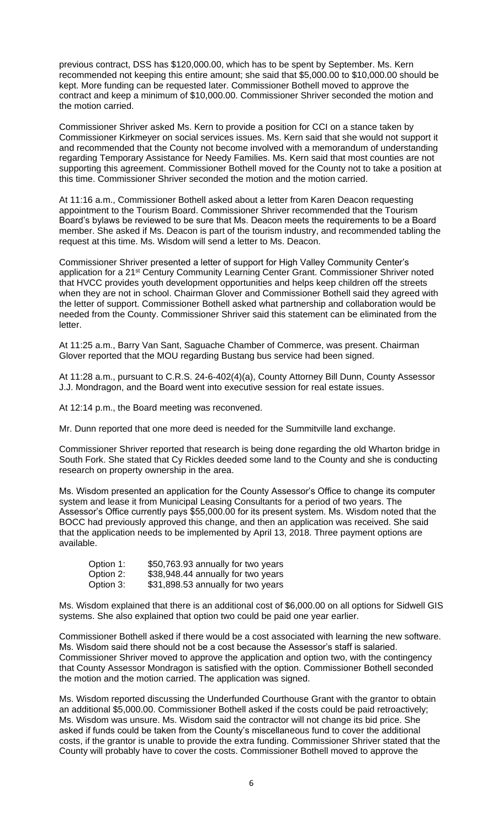previous contract, DSS has \$120,000.00, which has to be spent by September. Ms. Kern recommended not keeping this entire amount; she said that \$5,000.00 to \$10,000.00 should be kept. More funding can be requested later. Commissioner Bothell moved to approve the contract and keep a minimum of \$10,000.00. Commissioner Shriver seconded the motion and the motion carried.

Commissioner Shriver asked Ms. Kern to provide a position for CCI on a stance taken by Commissioner Kirkmeyer on social services issues. Ms. Kern said that she would not support it and recommended that the County not become involved with a memorandum of understanding regarding Temporary Assistance for Needy Families. Ms. Kern said that most counties are not supporting this agreement. Commissioner Bothell moved for the County not to take a position at this time. Commissioner Shriver seconded the motion and the motion carried.

At 11:16 a.m., Commissioner Bothell asked about a letter from Karen Deacon requesting appointment to the Tourism Board. Commissioner Shriver recommended that the Tourism Board's bylaws be reviewed to be sure that Ms. Deacon meets the requirements to be a Board member. She asked if Ms. Deacon is part of the tourism industry, and recommended tabling the request at this time. Ms. Wisdom will send a letter to Ms. Deacon.

Commissioner Shriver presented a letter of support for High Valley Community Center's application for a 21st Century Community Learning Center Grant. Commissioner Shriver noted that HVCC provides youth development opportunities and helps keep children off the streets when they are not in school. Chairman Glover and Commissioner Bothell said they agreed with the letter of support. Commissioner Bothell asked what partnership and collaboration would be needed from the County. Commissioner Shriver said this statement can be eliminated from the letter.

At 11:25 a.m., Barry Van Sant, Saguache Chamber of Commerce, was present. Chairman Glover reported that the MOU regarding Bustang bus service had been signed.

At 11:28 a.m., pursuant to C.R.S. 24-6-402(4)(a), County Attorney Bill Dunn, County Assessor J.J. Mondragon, and the Board went into executive session for real estate issues.

At 12:14 p.m., the Board meeting was reconvened.

Mr. Dunn reported that one more deed is needed for the Summitville land exchange.

Commissioner Shriver reported that research is being done regarding the old Wharton bridge in South Fork. She stated that Cy Rickles deeded some land to the County and she is conducting research on property ownership in the area.

Ms. Wisdom presented an application for the County Assessor's Office to change its computer system and lease it from Municipal Leasing Consultants for a period of two years. The Assessor's Office currently pays \$55,000.00 for its present system. Ms. Wisdom noted that the BOCC had previously approved this change, and then an application was received. She said that the application needs to be implemented by April 13, 2018. Three payment options are available.

| Option 1: | \$50,763.93 annually for two years |
|-----------|------------------------------------|
| Option 2: | \$38,948.44 annually for two years |
| Option 3: | \$31,898.53 annually for two years |

Ms. Wisdom explained that there is an additional cost of \$6,000.00 on all options for Sidwell GIS systems. She also explained that option two could be paid one year earlier.

Commissioner Bothell asked if there would be a cost associated with learning the new software. Ms. Wisdom said there should not be a cost because the Assessor's staff is salaried. Commissioner Shriver moved to approve the application and option two, with the contingency that County Assessor Mondragon is satisfied with the option. Commissioner Bothell seconded the motion and the motion carried. The application was signed.

Ms. Wisdom reported discussing the Underfunded Courthouse Grant with the grantor to obtain an additional \$5,000.00. Commissioner Bothell asked if the costs could be paid retroactively; Ms. Wisdom was unsure. Ms. Wisdom said the contractor will not change its bid price. She asked if funds could be taken from the County's miscellaneous fund to cover the additional costs, if the grantor is unable to provide the extra funding. Commissioner Shriver stated that the County will probably have to cover the costs. Commissioner Bothell moved to approve the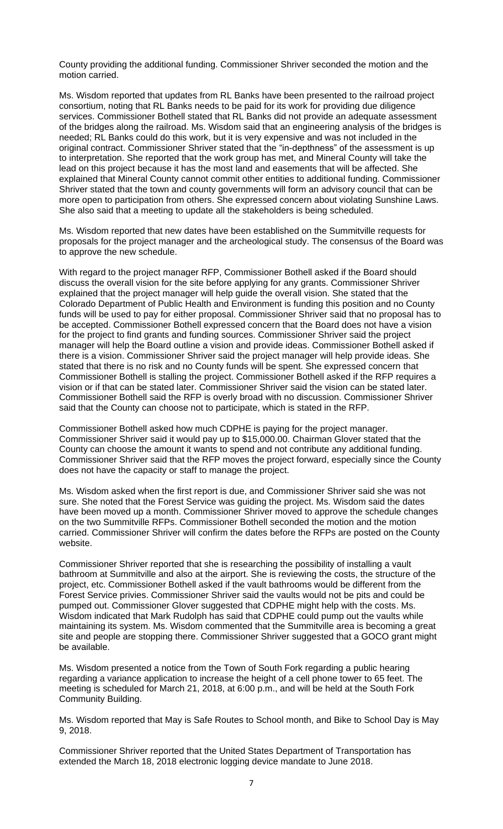County providing the additional funding. Commissioner Shriver seconded the motion and the motion carried.

Ms. Wisdom reported that updates from RL Banks have been presented to the railroad project consortium, noting that RL Banks needs to be paid for its work for providing due diligence services. Commissioner Bothell stated that RL Banks did not provide an adequate assessment of the bridges along the railroad. Ms. Wisdom said that an engineering analysis of the bridges is needed; RL Banks could do this work, but it is very expensive and was not included in the original contract. Commissioner Shriver stated that the "in-depthness" of the assessment is up to interpretation. She reported that the work group has met, and Mineral County will take the lead on this project because it has the most land and easements that will be affected. She explained that Mineral County cannot commit other entities to additional funding. Commissioner Shriver stated that the town and county governments will form an advisory council that can be more open to participation from others. She expressed concern about violating Sunshine Laws. She also said that a meeting to update all the stakeholders is being scheduled.

Ms. Wisdom reported that new dates have been established on the Summitville requests for proposals for the project manager and the archeological study. The consensus of the Board was to approve the new schedule.

With regard to the project manager RFP, Commissioner Bothell asked if the Board should discuss the overall vision for the site before applying for any grants. Commissioner Shriver explained that the project manager will help guide the overall vision. She stated that the Colorado Department of Public Health and Environment is funding this position and no County funds will be used to pay for either proposal. Commissioner Shriver said that no proposal has to be accepted. Commissioner Bothell expressed concern that the Board does not have a vision for the project to find grants and funding sources. Commissioner Shriver said the project manager will help the Board outline a vision and provide ideas. Commissioner Bothell asked if there is a vision. Commissioner Shriver said the project manager will help provide ideas. She stated that there is no risk and no County funds will be spent. She expressed concern that Commissioner Bothell is stalling the project. Commissioner Bothell asked if the RFP requires a vision or if that can be stated later. Commissioner Shriver said the vision can be stated later. Commissioner Bothell said the RFP is overly broad with no discussion. Commissioner Shriver said that the County can choose not to participate, which is stated in the RFP.

Commissioner Bothell asked how much CDPHE is paying for the project manager. Commissioner Shriver said it would pay up to \$15,000.00. Chairman Glover stated that the County can choose the amount it wants to spend and not contribute any additional funding. Commissioner Shriver said that the RFP moves the project forward, especially since the County does not have the capacity or staff to manage the project.

Ms. Wisdom asked when the first report is due, and Commissioner Shriver said she was not sure. She noted that the Forest Service was guiding the project. Ms. Wisdom said the dates have been moved up a month. Commissioner Shriver moved to approve the schedule changes on the two Summitville RFPs. Commissioner Bothell seconded the motion and the motion carried. Commissioner Shriver will confirm the dates before the RFPs are posted on the County website.

Commissioner Shriver reported that she is researching the possibility of installing a vault bathroom at Summitville and also at the airport. She is reviewing the costs, the structure of the project, etc. Commissioner Bothell asked if the vault bathrooms would be different from the Forest Service privies. Commissioner Shriver said the vaults would not be pits and could be pumped out. Commissioner Glover suggested that CDPHE might help with the costs. Ms. Wisdom indicated that Mark Rudolph has said that CDPHE could pump out the vaults while maintaining its system. Ms. Wisdom commented that the Summitville area is becoming a great site and people are stopping there. Commissioner Shriver suggested that a GOCO grant might be available.

Ms. Wisdom presented a notice from the Town of South Fork regarding a public hearing regarding a variance application to increase the height of a cell phone tower to 65 feet. The meeting is scheduled for March 21, 2018, at 6:00 p.m., and will be held at the South Fork Community Building.

Ms. Wisdom reported that May is Safe Routes to School month, and Bike to School Day is May 9, 2018.

Commissioner Shriver reported that the United States Department of Transportation has extended the March 18, 2018 electronic logging device mandate to June 2018.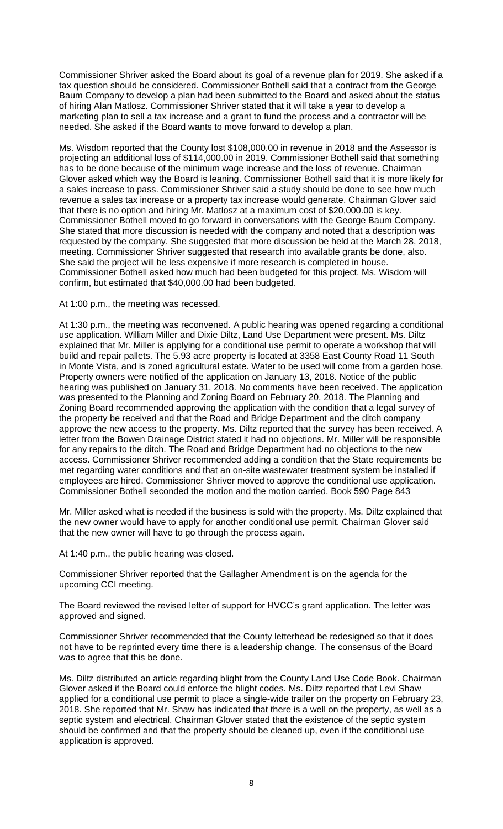Commissioner Shriver asked the Board about its goal of a revenue plan for 2019. She asked if a tax question should be considered. Commissioner Bothell said that a contract from the George Baum Company to develop a plan had been submitted to the Board and asked about the status of hiring Alan Matlosz. Commissioner Shriver stated that it will take a year to develop a marketing plan to sell a tax increase and a grant to fund the process and a contractor will be needed. She asked if the Board wants to move forward to develop a plan.

Ms. Wisdom reported that the County lost \$108,000.00 in revenue in 2018 and the Assessor is projecting an additional loss of \$114,000.00 in 2019. Commissioner Bothell said that something has to be done because of the minimum wage increase and the loss of revenue. Chairman Glover asked which way the Board is leaning. Commissioner Bothell said that it is more likely for a sales increase to pass. Commissioner Shriver said a study should be done to see how much revenue a sales tax increase or a property tax increase would generate. Chairman Glover said that there is no option and hiring Mr. Matlosz at a maximum cost of \$20,000.00 is key. Commissioner Bothell moved to go forward in conversations with the George Baum Company. She stated that more discussion is needed with the company and noted that a description was requested by the company. She suggested that more discussion be held at the March 28, 2018, meeting. Commissioner Shriver suggested that research into available grants be done, also. She said the project will be less expensive if more research is completed in house. Commissioner Bothell asked how much had been budgeted for this project. Ms. Wisdom will confirm, but estimated that \$40,000.00 had been budgeted.

#### At 1:00 p.m., the meeting was recessed.

At 1:30 p.m., the meeting was reconvened. A public hearing was opened regarding a conditional use application. William Miller and Dixie Diltz, Land Use Department were present. Ms. Diltz explained that Mr. Miller is applying for a conditional use permit to operate a workshop that will build and repair pallets. The 5.93 acre property is located at 3358 East County Road 11 South in Monte Vista, and is zoned agricultural estate. Water to be used will come from a garden hose. Property owners were notified of the application on January 13, 2018. Notice of the public hearing was published on January 31, 2018. No comments have been received. The application was presented to the Planning and Zoning Board on February 20, 2018. The Planning and Zoning Board recommended approving the application with the condition that a legal survey of the property be received and that the Road and Bridge Department and the ditch company approve the new access to the property. Ms. Diltz reported that the survey has been received. A letter from the Bowen Drainage District stated it had no objections. Mr. Miller will be responsible for any repairs to the ditch. The Road and Bridge Department had no objections to the new access. Commissioner Shriver recommended adding a condition that the State requirements be met regarding water conditions and that an on-site wastewater treatment system be installed if employees are hired. Commissioner Shriver moved to approve the conditional use application. Commissioner Bothell seconded the motion and the motion carried. Book 590 Page 843

Mr. Miller asked what is needed if the business is sold with the property. Ms. Diltz explained that the new owner would have to apply for another conditional use permit. Chairman Glover said that the new owner will have to go through the process again.

At 1:40 p.m., the public hearing was closed.

Commissioner Shriver reported that the Gallagher Amendment is on the agenda for the upcoming CCI meeting.

The Board reviewed the revised letter of support for HVCC's grant application. The letter was approved and signed.

Commissioner Shriver recommended that the County letterhead be redesigned so that it does not have to be reprinted every time there is a leadership change. The consensus of the Board was to agree that this be done.

Ms. Diltz distributed an article regarding blight from the County Land Use Code Book. Chairman Glover asked if the Board could enforce the blight codes. Ms. Diltz reported that Levi Shaw applied for a conditional use permit to place a single-wide trailer on the property on February 23, 2018. She reported that Mr. Shaw has indicated that there is a well on the property, as well as a septic system and electrical. Chairman Glover stated that the existence of the septic system should be confirmed and that the property should be cleaned up, even if the conditional use application is approved.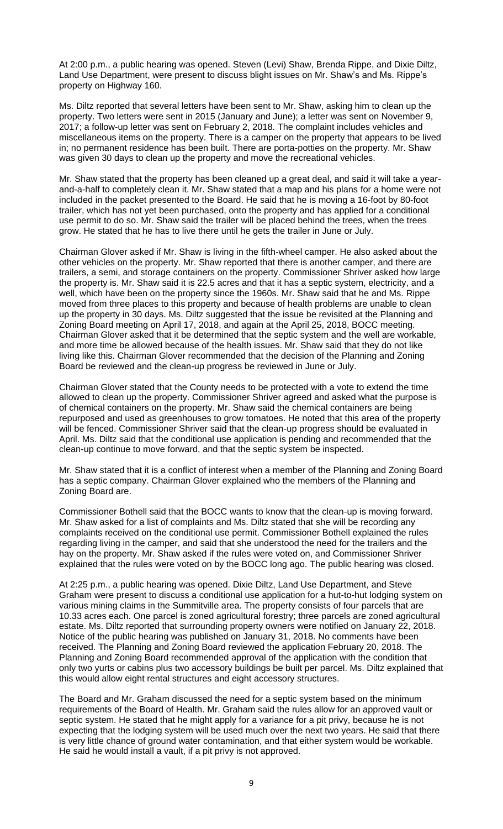At 2:00 p.m., a public hearing was opened. Steven (Levi) Shaw, Brenda Rippe, and Dixie Diltz, Land Use Department, were present to discuss blight issues on Mr. Shaw's and Ms. Rippe's property on Highway 160.

Ms. Diltz reported that several letters have been sent to Mr. Shaw, asking him to clean up the property. Two letters were sent in 2015 (January and June); a letter was sent on November 9, 2017; a follow-up letter was sent on February 2, 2018. The complaint includes vehicles and miscellaneous items on the property. There is a camper on the property that appears to be lived in; no permanent residence has been built. There are porta-potties on the property. Mr. Shaw was given 30 days to clean up the property and move the recreational vehicles.

Mr. Shaw stated that the property has been cleaned up a great deal, and said it will take a yearand-a-half to completely clean it. Mr. Shaw stated that a map and his plans for a home were not included in the packet presented to the Board. He said that he is moving a 16-foot by 80-foot trailer, which has not yet been purchased, onto the property and has applied for a conditional use permit to do so. Mr. Shaw said the trailer will be placed behind the trees, when the trees grow. He stated that he has to live there until he gets the trailer in June or July.

Chairman Glover asked if Mr. Shaw is living in the fifth-wheel camper. He also asked about the other vehicles on the property. Mr. Shaw reported that there is another camper, and there are trailers, a semi, and storage containers on the property. Commissioner Shriver asked how large the property is. Mr. Shaw said it is 22.5 acres and that it has a septic system, electricity, and a well, which have been on the property since the 1960s. Mr. Shaw said that he and Ms. Rippe moved from three places to this property and because of health problems are unable to clean up the property in 30 days. Ms. Diltz suggested that the issue be revisited at the Planning and Zoning Board meeting on April 17, 2018, and again at the April 25, 2018, BOCC meeting. Chairman Glover asked that it be determined that the septic system and the well are workable, and more time be allowed because of the health issues. Mr. Shaw said that they do not like living like this. Chairman Glover recommended that the decision of the Planning and Zoning Board be reviewed and the clean-up progress be reviewed in June or July.

Chairman Glover stated that the County needs to be protected with a vote to extend the time allowed to clean up the property. Commissioner Shriver agreed and asked what the purpose is of chemical containers on the property. Mr. Shaw said the chemical containers are being repurposed and used as greenhouses to grow tomatoes. He noted that this area of the property will be fenced. Commissioner Shriver said that the clean-up progress should be evaluated in April. Ms. Diltz said that the conditional use application is pending and recommended that the clean-up continue to move forward, and that the septic system be inspected.

Mr. Shaw stated that it is a conflict of interest when a member of the Planning and Zoning Board has a septic company. Chairman Glover explained who the members of the Planning and Zoning Board are.

Commissioner Bothell said that the BOCC wants to know that the clean-up is moving forward. Mr. Shaw asked for a list of complaints and Ms. Diltz stated that she will be recording any complaints received on the conditional use permit. Commissioner Bothell explained the rules regarding living in the camper, and said that she understood the need for the trailers and the hay on the property. Mr. Shaw asked if the rules were voted on, and Commissioner Shriver explained that the rules were voted on by the BOCC long ago. The public hearing was closed.

At 2:25 p.m., a public hearing was opened. Dixie Diltz, Land Use Department, and Steve Graham were present to discuss a conditional use application for a hut-to-hut lodging system on various mining claims in the Summitville area. The property consists of four parcels that are 10.33 acres each. One parcel is zoned agricultural forestry; three parcels are zoned agricultural estate. Ms. Diltz reported that surrounding property owners were notified on January 22, 2018. Notice of the public hearing was published on January 31, 2018. No comments have been received. The Planning and Zoning Board reviewed the application February 20, 2018. The Planning and Zoning Board recommended approval of the application with the condition that only two yurts or cabins plus two accessory buildings be built per parcel. Ms. Diltz explained that this would allow eight rental structures and eight accessory structures.

The Board and Mr. Graham discussed the need for a septic system based on the minimum requirements of the Board of Health. Mr. Graham said the rules allow for an approved vault or septic system. He stated that he might apply for a variance for a pit privy, because he is not expecting that the lodging system will be used much over the next two years. He said that there is very little chance of ground water contamination, and that either system would be workable. He said he would install a vault, if a pit privy is not approved.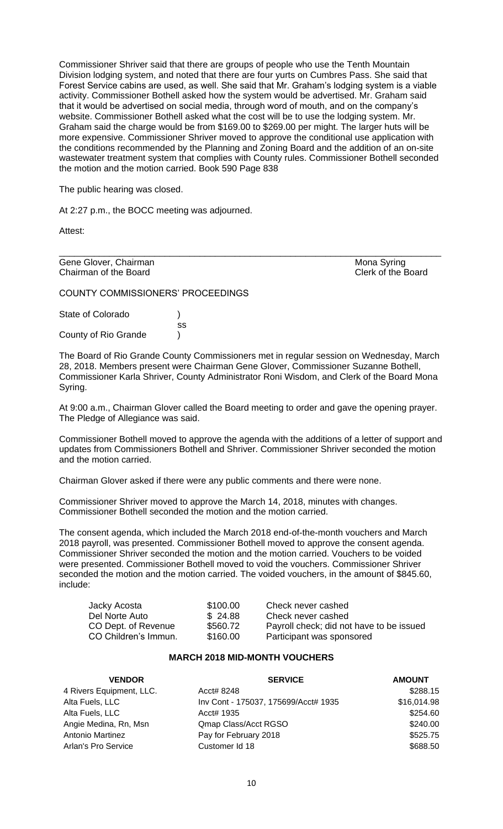Commissioner Shriver said that there are groups of people who use the Tenth Mountain Division lodging system, and noted that there are four yurts on Cumbres Pass. She said that Forest Service cabins are used, as well. She said that Mr. Graham's lodging system is a viable activity. Commissioner Bothell asked how the system would be advertised. Mr. Graham said that it would be advertised on social media, through word of mouth, and on the company's website. Commissioner Bothell asked what the cost will be to use the lodging system. Mr. Graham said the charge would be from \$169.00 to \$269.00 per might. The larger huts will be more expensive. Commissioner Shriver moved to approve the conditional use application with the conditions recommended by the Planning and Zoning Board and the addition of an on-site wastewater treatment system that complies with County rules. Commissioner Bothell seconded the motion and the motion carried. Book 590 Page 838

The public hearing was closed.

At 2:27 p.m., the BOCC meeting was adjourned.

Attest:

Gene Glover, Chairman Mona Syring Chairman of the Board Chairman of the Board

COUNTY COMMISSIONERS' PROCEEDINGS

State of Colorado (a) ss County of Rio Grande )

The Board of Rio Grande County Commissioners met in regular session on Wednesday, March 28, 2018. Members present were Chairman Gene Glover, Commissioner Suzanne Bothell, Commissioner Karla Shriver, County Administrator Roni Wisdom, and Clerk of the Board Mona Syring.

\_\_\_\_\_\_\_\_\_\_\_\_\_\_\_\_\_\_\_\_\_\_\_\_\_\_\_\_\_\_\_\_\_\_\_\_\_\_\_\_\_\_\_\_\_\_\_\_\_\_\_\_\_\_\_\_\_\_\_\_\_\_\_\_\_\_\_\_\_\_\_\_\_\_\_\_

At 9:00 a.m., Chairman Glover called the Board meeting to order and gave the opening prayer. The Pledge of Allegiance was said.

Commissioner Bothell moved to approve the agenda with the additions of a letter of support and updates from Commissioners Bothell and Shriver. Commissioner Shriver seconded the motion and the motion carried.

Chairman Glover asked if there were any public comments and there were none.

Commissioner Shriver moved to approve the March 14, 2018, minutes with changes. Commissioner Bothell seconded the motion and the motion carried.

The consent agenda, which included the March 2018 end-of-the-month vouchers and March 2018 payroll, was presented. Commissioner Bothell moved to approve the consent agenda. Commissioner Shriver seconded the motion and the motion carried. Vouchers to be voided were presented. Commissioner Bothell moved to void the vouchers. Commissioner Shriver seconded the motion and the motion carried. The voided vouchers, in the amount of \$845.60, include:

| Jacky Acosta         | \$100.00 | Check never cashed                       |
|----------------------|----------|------------------------------------------|
| Del Norte Auto       | \$24.88  | Check never cashed                       |
| CO Dept. of Revenue  | \$560.72 | Payroll check; did not have to be issued |
| CO Children's Immun. | \$160.00 | Participant was sponsored                |

### **MARCH 2018 MID-MONTH VOUCHERS**

| <b>VENDOR</b>            | <b>SERVICE</b>                       | <b>AMOUNT</b> |
|--------------------------|--------------------------------------|---------------|
| 4 Rivers Equipment, LLC. | Acct# 8248                           | \$288.15      |
| Alta Fuels, LLC          | Inv Cont - 175037, 175699/Acct# 1935 | \$16,014.98   |
| Alta Fuels, LLC          | Acct# 1935                           | \$254.60      |
| Angie Medina, Rn, Msn    | Qmap Class/Acct RGSO                 | \$240.00      |
| <b>Antonio Martinez</b>  | Pay for February 2018                | \$525.75      |
| Arlan's Pro Service      | Customer Id 18                       | \$688.50      |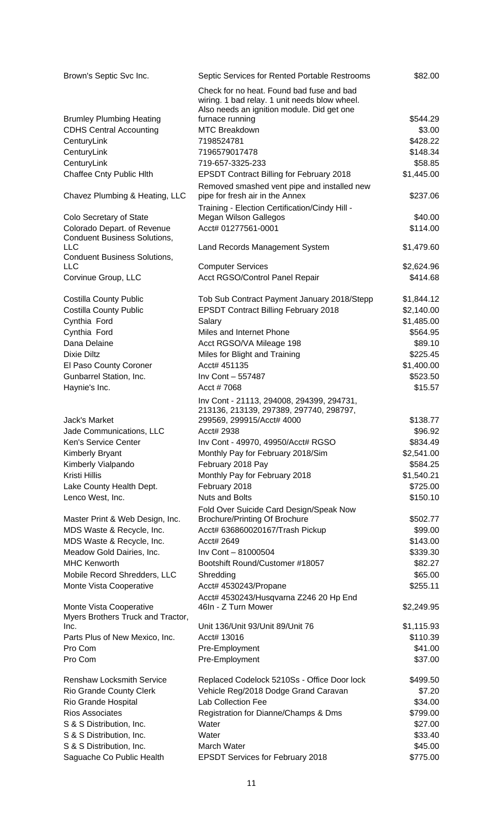| Brown's Septic Svc Inc.                                           | Septic Services for Rented Portable Restrooms                           | \$82.00            |
|-------------------------------------------------------------------|-------------------------------------------------------------------------|--------------------|
|                                                                   | Check for no heat. Found bad fuse and bad                               |                    |
|                                                                   | wiring. 1 bad relay. 1 unit needs blow wheel.                           |                    |
|                                                                   | Also needs an ignition module. Did get one                              |                    |
| <b>Brumley Plumbing Heating</b><br><b>CDHS Central Accounting</b> | furnace running<br><b>MTC Breakdown</b>                                 | \$544.29<br>\$3.00 |
| CenturyLink                                                       | 7198524781                                                              | \$428.22           |
| CenturyLink                                                       | 7196579017478                                                           | \$148.34           |
| CenturyLink                                                       | 719-657-3325-233                                                        | \$58.85            |
| Chaffee Cnty Public Hlth                                          | <b>EPSDT Contract Billing for February 2018</b>                         | \$1,445.00         |
|                                                                   | Removed smashed vent pipe and installed new                             |                    |
| Chavez Plumbing & Heating, LLC                                    | pipe for fresh air in the Annex                                         | \$237.06           |
| Colo Secretary of State                                           | Training - Election Certification/Cindy Hill -<br>Megan Wilson Gallegos | \$40.00            |
| Colorado Depart. of Revenue                                       | Acct# 01277561-0001                                                     | \$114.00           |
| <b>Conduent Business Solutions,</b>                               |                                                                         |                    |
| <b>LLC</b>                                                        | Land Records Management System                                          | \$1,479.60         |
| <b>Conduent Business Solutions,</b>                               |                                                                         |                    |
| <b>LLC</b>                                                        | <b>Computer Services</b>                                                | \$2,624.96         |
| Corvinue Group, LLC                                               | Acct RGSO/Control Panel Repair                                          | \$414.68           |
| <b>Costilla County Public</b>                                     | Tob Sub Contract Payment January 2018/Stepp                             | \$1,844.12         |
| <b>Costilla County Public</b>                                     | <b>EPSDT Contract Billing February 2018</b>                             | \$2,140.00         |
| Cynthia Ford                                                      | Salary                                                                  | \$1,485.00         |
| Cynthia Ford                                                      | Miles and Internet Phone                                                | \$564.95           |
| Dana Delaine                                                      | Acct RGSO/VA Mileage 198                                                | \$89.10            |
| Dixie Diltz                                                       | Miles for Blight and Training                                           | \$225.45           |
| El Paso County Coroner                                            | Acct# 451135                                                            | \$1,400.00         |
| Gunbarrel Station, Inc.                                           | Inv Cont - 557487                                                       | \$523.50           |
| Haynie's Inc.                                                     | Acct #7068                                                              | \$15.57            |
|                                                                   | Inv Cont - 21113, 294008, 294399, 294731,                               |                    |
|                                                                   | 213136, 213139, 297389, 297740, 298797,                                 |                    |
| Jack's Market                                                     | 299569, 299915/Acct# 4000                                               | \$138.77           |
| Jade Communications, LLC                                          | Acct# 2938                                                              | \$96.92            |
| Ken's Service Center                                              | Inv Cont - 49970, 49950/Acct# RGSO                                      | \$834.49           |
| <b>Kimberly Bryant</b>                                            | Monthly Pay for February 2018/Sim                                       | \$2,541.00         |
| Kimberly Vialpando                                                | February 2018 Pay                                                       | \$584.25           |
| Kristi Hillis                                                     | Monthly Pay for February 2018                                           | \$1,540.21         |
| Lake County Health Dept.                                          | February 2018                                                           | \$725.00           |
| Lenco West, Inc.                                                  | <b>Nuts and Bolts</b>                                                   | \$150.10           |
|                                                                   | Fold Over Suicide Card Design/Speak Now                                 |                    |
| Master Print & Web Design, Inc.                                   | <b>Brochure/Printing Of Brochure</b>                                    | \$502.77           |
| MDS Waste & Recycle, Inc.                                         | Acct# 636860020167/Trash Pickup                                         | \$99.00            |
| MDS Waste & Recycle, Inc.                                         | Acct# 2649                                                              | \$143.00           |
| Meadow Gold Dairies, Inc.                                         | Inv Cont - 81000504                                                     | \$339.30           |
| <b>MHC Kenworth</b>                                               | Bootshift Round/Customer #18057                                         | \$82.27            |
| Mobile Record Shredders, LLC                                      | Shredding                                                               | \$65.00            |
| Monte Vista Cooperative                                           | Acct# 4530243/Propane                                                   | \$255.11           |
|                                                                   | Acct# 4530243/Husqvarna Z246 20 Hp End                                  |                    |
| Monte Vista Cooperative                                           | 46In - Z Turn Mower                                                     | \$2,249.95         |
| Myers Brothers Truck and Tractor,                                 |                                                                         |                    |
| Inc.                                                              | Unit 136/Unit 93/Unit 89/Unit 76                                        | \$1,115.93         |
| Parts Plus of New Mexico, Inc.                                    | Acct# 13016                                                             | \$110.39           |
| Pro Com                                                           | Pre-Employment                                                          | \$41.00            |
| Pro Com                                                           | Pre-Employment                                                          | \$37.00            |
| <b>Renshaw Locksmith Service</b>                                  | Replaced Codelock 5210Ss - Office Door lock                             | \$499.50           |
| Rio Grande County Clerk                                           | Vehicle Reg/2018 Dodge Grand Caravan                                    | \$7.20             |
| Rio Grande Hospital                                               | Lab Collection Fee                                                      | \$34.00            |
| <b>Rios Associates</b>                                            | Registration for Dianne/Champs & Dms                                    | \$799.00           |
| S & S Distribution, Inc.                                          | Water                                                                   | \$27.00            |
| S & S Distribution, Inc.                                          | Water                                                                   | \$33.40            |
| S & S Distribution, Inc.                                          | March Water                                                             | \$45.00            |
| Saguache Co Public Health                                         | <b>EPSDT Services for February 2018</b>                                 | \$775.00           |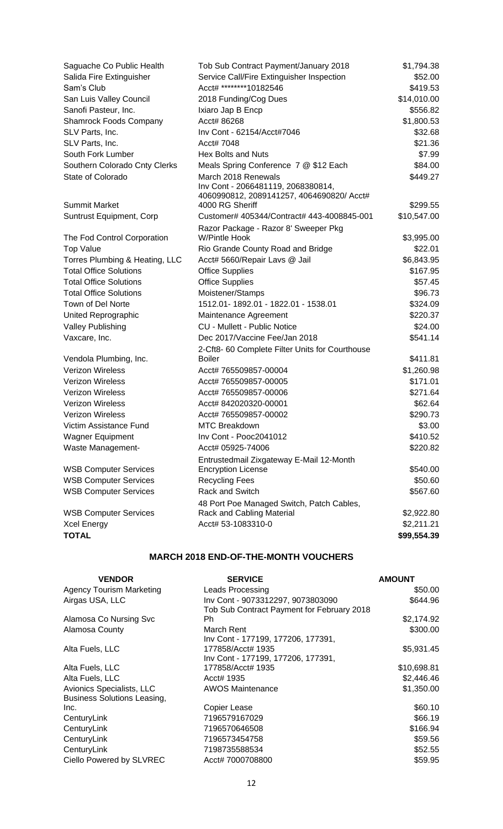| Saguache Co Public Health      | Tob Sub Contract Payment/January 2018           | \$1,794.38  |
|--------------------------------|-------------------------------------------------|-------------|
| Salida Fire Extinguisher       | Service Call/Fire Extinguisher Inspection       | \$52.00     |
| Sam's Club                     | Acct# *********10182546                         | \$419.53    |
| San Luis Valley Council        | 2018 Funding/Cog Dues                           | \$14,010.00 |
| Sanofi Pasteur, Inc.           | Ixiaro Jap B Encp                               | \$556.82    |
| <b>Shamrock Foods Company</b>  | Acct# 86268                                     | \$1,800.53  |
| SLV Parts, Inc.                | Inv Cont - 62154/Acct#7046                      | \$32.68     |
| SLV Parts, Inc.                | Acct# 7048                                      | \$21.36     |
| South Fork Lumber              | Hex Bolts and Nuts                              | \$7.99      |
| Southern Colorado Cnty Clerks  | Meals Spring Conference 7 @ \$12 Each           | \$84.00     |
| State of Colorado              | March 2018 Renewals                             | \$449.27    |
|                                | Inv Cont - 2066481119, 2068380814,              |             |
|                                | 4060990812, 2089141257, 4064690820/ Acct#       |             |
| <b>Summit Market</b>           | 4000 RG Sheriff                                 | \$299.55    |
| Suntrust Equipment, Corp       | Customer# 405344/Contract# 443-4008845-001      | \$10,547.00 |
|                                | Razor Package - Razor 8' Sweeper Pkg            |             |
| The Fod Control Corporation    | <b>W/Pintle Hook</b>                            | \$3,995.00  |
| <b>Top Value</b>               | Rio Grande County Road and Bridge               | \$22.01     |
| Torres Plumbing & Heating, LLC | Acct# 5660/Repair Lavs @ Jail                   | \$6,843.95  |
| <b>Total Office Solutions</b>  | <b>Office Supplies</b>                          | \$167.95    |
| <b>Total Office Solutions</b>  | <b>Office Supplies</b>                          | \$57.45     |
| <b>Total Office Solutions</b>  | Moistener/Stamps                                | \$96.73     |
| Town of Del Norte              | 1512.01-1892.01 - 1822.01 - 1538.01             | \$324.09    |
| United Reprographic            | Maintenance Agreement                           | \$220.37    |
| <b>Valley Publishing</b>       | <b>CU - Mullett - Public Notice</b>             | \$24.00     |
| Vaxcare, Inc.                  | Dec 2017/Vaccine Fee/Jan 2018                   | \$541.14    |
|                                | 2-Cft8- 60 Complete Filter Units for Courthouse |             |
| Vendola Plumbing, Inc.         | <b>Boiler</b>                                   | \$411.81    |
| <b>Verizon Wireless</b>        | Acct# 765509857-00004                           | \$1,260.98  |
| <b>Verizon Wireless</b>        | Acct# 765509857-00005                           | \$171.01    |
| <b>Verizon Wireless</b>        | Acct# 765509857-00006                           | \$271.64    |
| <b>Verizon Wireless</b>        | Acct# 842020320-00001                           | \$62.64     |
| <b>Verizon Wireless</b>        | Acct# 765509857-00002                           | \$290.73    |
| Victim Assistance Fund         | MTC Breakdown                                   | \$3.00      |
| <b>Wagner Equipment</b>        | Inv Cont - Pooc2041012                          | \$410.52    |
| Waste Management-              | Acct# 05925-74006                               | \$220.82    |
|                                | Entrustedmail Zixgateway E-Mail 12-Month        |             |
| <b>WSB Computer Services</b>   | <b>Encryption License</b>                       | \$540.00    |
| <b>WSB Computer Services</b>   | <b>Recycling Fees</b>                           | \$50.60     |
| <b>WSB Computer Services</b>   | Rack and Switch                                 | \$567.60    |
|                                | 48 Port Poe Managed Switch, Patch Cables,       |             |
| <b>WSB Computer Services</b>   | Rack and Cabling Material                       | \$2,922.80  |
| Xcel Energy                    | Acct# 53-1083310-0                              | \$2,211.21  |
| <b>TOTAL</b>                   |                                                 | \$99,554.39 |

# **MARCH 2018 END-OF-THE-MONTH VOUCHERS**

| <b>VENDOR</b>                                                   | <b>SERVICE</b>                                                                  | <b>AMOUNT</b> |
|-----------------------------------------------------------------|---------------------------------------------------------------------------------|---------------|
| <b>Agency Tourism Marketing</b>                                 | Leads Processing                                                                | \$50.00       |
| Airgas USA, LLC                                                 | Inv Cont - 9073312297, 9073803090<br>Tob Sub Contract Payment for February 2018 | \$644.96      |
| Alamosa Co Nursing Svc                                          | Ph.                                                                             | \$2,174.92    |
| Alamosa County                                                  | March Rent<br>Inv Cont - 177199, 177206, 177391,                                | \$300.00      |
| Alta Fuels, LLC                                                 | 177858/Acct# 1935<br>Inv Cont - 177199, 177206, 177391,                         | \$5,931.45    |
| Alta Fuels, LLC                                                 | 177858/Acct# 1935                                                               | \$10,698.81   |
| Alta Fuels, LLC                                                 | Acct# 1935                                                                      | \$2,446.46    |
| Avionics Specialists, LLC<br><b>Business Solutions Leasing,</b> | <b>AWOS Maintenance</b>                                                         | \$1,350.00    |
| Inc.                                                            | Copier Lease                                                                    | \$60.10       |
| CenturyLink                                                     | 7196579167029                                                                   | \$66.19       |
| CenturyLink                                                     | 7196570646508                                                                   | \$166.94      |
| CenturyLink                                                     | 7196573454758                                                                   | \$59.56       |
| CenturyLink                                                     | 7198735588534                                                                   | \$52.55       |
| Ciello Powered by SLVREC                                        | Acct# 7000708800                                                                | \$59.95       |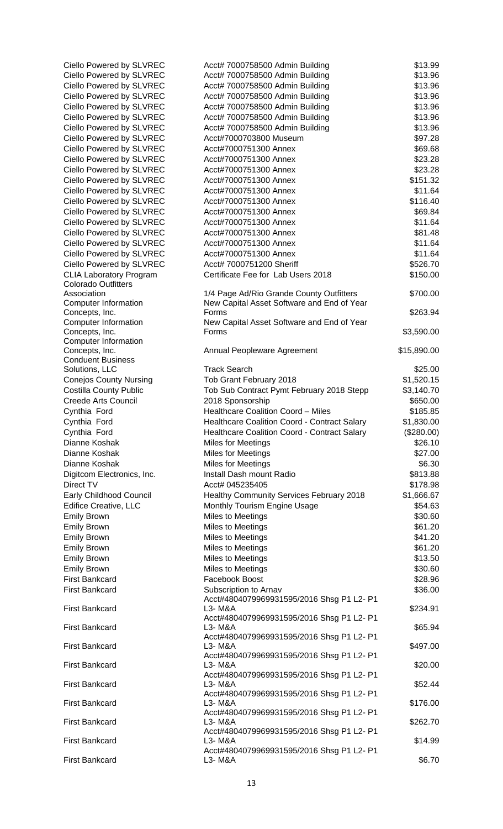| Ciello Powered by SLVREC                                     | Acct# 7000758500 Admin Building                                    | \$13.99            |
|--------------------------------------------------------------|--------------------------------------------------------------------|--------------------|
| Ciello Powered by SLVREC                                     | Acct# 7000758500 Admin Building                                    | \$13.96            |
| Ciello Powered by SLVREC                                     | Acct# 7000758500 Admin Building                                    | \$13.96            |
| Ciello Powered by SLVREC                                     | Acct# 7000758500 Admin Building                                    | \$13.96            |
| Ciello Powered by SLVREC                                     | Acct# 7000758500 Admin Building                                    | \$13.96            |
| Ciello Powered by SLVREC                                     | Acct# 7000758500 Admin Building                                    | \$13.96            |
| Ciello Powered by SLVREC                                     | Acct# 7000758500 Admin Building                                    | \$13.96            |
| Ciello Powered by SLVREC                                     | Acct#7000703800 Museum                                             | \$97.28            |
| Ciello Powered by SLVREC                                     | Acct#7000751300 Annex                                              | \$69.68            |
| Ciello Powered by SLVREC                                     | Acct#7000751300 Annex                                              | \$23.28            |
| Ciello Powered by SLVREC                                     | Acct#7000751300 Annex                                              | \$23.28            |
| Ciello Powered by SLVREC                                     | Acct#7000751300 Annex                                              | \$151.32           |
| Ciello Powered by SLVREC                                     | Acct#7000751300 Annex                                              | \$11.64            |
| Ciello Powered by SLVREC                                     | Acct#7000751300 Annex                                              | \$116.40           |
| Ciello Powered by SLVREC                                     | Acct#7000751300 Annex                                              | \$69.84            |
| Ciello Powered by SLVREC                                     | Acct#7000751300 Annex                                              | \$11.64            |
| Ciello Powered by SLVREC                                     | Acct#7000751300 Annex                                              | \$81.48            |
| Ciello Powered by SLVREC                                     | Acct#7000751300 Annex                                              | \$11.64            |
| Ciello Powered by SLVREC                                     | Acct#7000751300 Annex                                              | \$11.64            |
| Ciello Powered by SLVREC                                     | Acct# 7000751200 Sheriff                                           | \$526.70           |
| <b>CLIA Laboratory Program</b><br><b>Colorado Outfitters</b> | Certificate Fee for Lab Users 2018                                 | \$150.00           |
| Association                                                  | 1/4 Page Ad/Rio Grande County Outfitters                           | \$700.00           |
| <b>Computer Information</b>                                  | New Capital Asset Software and End of Year                         |                    |
| Concepts, Inc.                                               | Forms                                                              | \$263.94           |
| <b>Computer Information</b>                                  | New Capital Asset Software and End of Year                         |                    |
| Concepts, Inc.                                               | Forms                                                              | \$3,590.00         |
| <b>Computer Information</b><br>Concepts, Inc.                | Annual Peopleware Agreement                                        | \$15,890.00        |
| <b>Conduent Business</b>                                     |                                                                    |                    |
| Solutions, LLC                                               | <b>Track Search</b>                                                | \$25.00            |
| <b>Conejos County Nursing</b>                                | Tob Grant February 2018                                            | \$1,520.15         |
| <b>Costilla County Public</b>                                | Tob Sub Contract Pymt February 2018 Stepp                          | \$3,140.70         |
| <b>Creede Arts Council</b>                                   | 2018 Sponsorship                                                   | \$650.00           |
| Cynthia Ford                                                 | <b>Healthcare Coalition Coord - Miles</b>                          | \$185.85           |
| Cynthia Ford                                                 | Healthcare Coalition Coord - Contract Salary                       | \$1,830.00         |
| Cynthia Ford                                                 | Healthcare Coalition Coord - Contract Salary                       | (\$280.00)         |
| Dianne Koshak                                                | Miles for Meetings                                                 | \$26.10            |
| Dianne Koshak                                                | Miles for Meetings                                                 | \$27.00            |
| Dianne Koshak                                                | <b>Miles for Meetings</b>                                          | \$6.30             |
| Digitcom Electronics, Inc.                                   | Install Dash mount Radio                                           | \$813.88           |
| Direct TV                                                    | Acct# 045235405                                                    | \$178.98           |
| Early Childhood Council                                      | Healthy Community Services February 2018                           | \$1,666.67         |
| Edifice Creative, LLC                                        | Monthly Tourism Engine Usage                                       | \$54.63            |
| <b>Emily Brown</b>                                           | Miles to Meetings                                                  | \$30.60            |
|                                                              |                                                                    | \$61.20            |
| <b>Emily Brown</b>                                           | Miles to Meetings                                                  |                    |
| <b>Emily Brown</b>                                           | Miles to Meetings                                                  | \$41.20            |
| <b>Emily Brown</b>                                           | Miles to Meetings                                                  | \$61.20            |
| <b>Emily Brown</b>                                           | Miles to Meetings                                                  | \$13.50            |
| <b>Emily Brown</b>                                           | Miles to Meetings                                                  | \$30.60            |
| <b>First Bankcard</b>                                        | Facebook Boost                                                     | \$28.96            |
| <b>First Bankcard</b>                                        | Subscription to Arnav<br>Acct#4804079969931595/2016 Shsg P1 L2- P1 | \$36.00            |
| <b>First Bankcard</b>                                        | L3- M&A<br>Acct#4804079969931595/2016 Shsg P1 L2- P1               | \$234.91           |
| <b>First Bankcard</b>                                        | L3- M&A<br>Acct#4804079969931595/2016 Shsg P1 L2- P1               | \$65.94            |
| <b>First Bankcard</b>                                        | L3- M&A<br>Acct#4804079969931595/2016 Shsg P1 L2- P1               | \$497.00           |
| <b>First Bankcard</b>                                        | L3- M&A<br>Acct#4804079969931595/2016 Shsg P1 L2- P1               | \$20.00<br>\$52.44 |
| <b>First Bankcard</b><br><b>First Bankcard</b>               | L3- M&A<br>Acct#4804079969931595/2016 Shsg P1 L2- P1<br>L3- M&A    | \$176.00           |
|                                                              | Acct#4804079969931595/2016 Shsg P1 L2- P1                          |                    |
| <b>First Bankcard</b>                                        | L3- M&A<br>Acct#4804079969931595/2016 Shsg P1 L2- P1               | \$262.70           |
| <b>First Bankcard</b>                                        | L3- M&A<br>Acct#4804079969931595/2016 Shsg P1 L2- P1               | \$14.99            |
| <b>First Bankcard</b>                                        | L3- M&A                                                            | \$6.70             |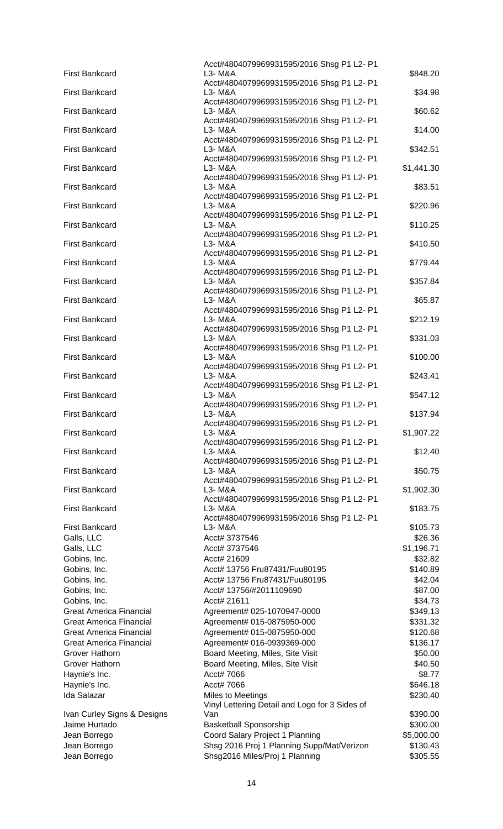|                                | Acct#4804079969931595/2016 Shsg P1 L2- P1             |            |
|--------------------------------|-------------------------------------------------------|------------|
| <b>First Bankcard</b>          | L3- M&A                                               | \$848.20   |
|                                | Acct#4804079969931595/2016 Shsg P1 L2- P1             |            |
| <b>First Bankcard</b>          | L3- M&A                                               | \$34.98    |
|                                | Acct#4804079969931595/2016 Shsg P1 L2- P1             |            |
| <b>First Bankcard</b>          | L3- M&A                                               | \$60.62    |
|                                | Acct#4804079969931595/2016 Shsg P1 L2- P1             |            |
| <b>First Bankcard</b>          | L3- M&A<br>Acct#4804079969931595/2016 Shsg P1 L2- P1  | \$14.00    |
| <b>First Bankcard</b>          | L3- M&A                                               | \$342.51   |
|                                | Acct#4804079969931595/2016 Shsg P1 L2- P1             |            |
| <b>First Bankcard</b>          | L3- M&A                                               | \$1,441.30 |
|                                | Acct#4804079969931595/2016 Shsg P1 L2- P1             |            |
| <b>First Bankcard</b>          | L3- M&A                                               | \$83.51    |
|                                | Acct#4804079969931595/2016 Shsg P1 L2- P1             |            |
| <b>First Bankcard</b>          | L3- M&A                                               | \$220.96   |
|                                | Acct#4804079969931595/2016 Shsg P1 L2- P1             |            |
| <b>First Bankcard</b>          | L3- M&A                                               | \$110.25   |
| <b>First Bankcard</b>          | Acct#4804079969931595/2016 Shsg P1 L2- P1<br>L3- M&A  | \$410.50   |
|                                | Acct#4804079969931595/2016 Shsg P1 L2- P1             |            |
| <b>First Bankcard</b>          | L3- M&A                                               | \$779.44   |
|                                | Acct#4804079969931595/2016 Shsg P1 L2- P1             |            |
| <b>First Bankcard</b>          | L3- M&A                                               | \$357.84   |
|                                | Acct#4804079969931595/2016 Shsg P1 L2- P1             |            |
| <b>First Bankcard</b>          | L3- M&A                                               | \$65.87    |
|                                | Acct#4804079969931595/2016 Shsg P1 L2- P1             |            |
| <b>First Bankcard</b>          | L3- M&A                                               | \$212.19   |
|                                | Acct#4804079969931595/2016 Shsg P1 L2- P1             |            |
| <b>First Bankcard</b>          | L3- M&A                                               | \$331.03   |
| <b>First Bankcard</b>          | Acct#4804079969931595/2016 Shsg P1 L2- P1             |            |
|                                | L3- M&A<br>Acct#4804079969931595/2016 Shsg P1 L2- P1  | \$100.00   |
| <b>First Bankcard</b>          | L3- M&A                                               | \$243.41   |
|                                | Acct#4804079969931595/2016 Shsg P1 L2- P1             |            |
| <b>First Bankcard</b>          | L3- M&A                                               | \$547.12   |
|                                | Acct#4804079969931595/2016 Shsg P1 L2- P1             |            |
| <b>First Bankcard</b>          | L3- M&A                                               | \$137.94   |
|                                | Acct#4804079969931595/2016 Shsg P1 L2- P1             |            |
| <b>First Bankcard</b>          | L3- M&A                                               | \$1,907.22 |
|                                | Acct#4804079969931595/2016 Shsg P1 L2- P1             |            |
| <b>First Bankcard</b>          | L3- M&A                                               | \$12.40    |
| <b>First Bankcard</b>          | Acct#4804079969931595/2016 Shsg P1 L2- P1<br>L3- M&A  | \$50.75    |
|                                | Acct#4804079969931595/2016 Shsg P1 L2- P1             |            |
| <b>First Bankcard</b>          | L3- M&A                                               | \$1,902.30 |
|                                | Acct#4804079969931595/2016 Shsg P1 L2- P1             |            |
| <b>First Bankcard</b>          | L3- M&A                                               | \$183.75   |
|                                | Acct#4804079969931595/2016 Shsg P1 L2- P1             |            |
| <b>First Bankcard</b>          | L3- M&A                                               | \$105.73   |
| Galls, LLC                     | Acct# 3737546                                         | \$26.36    |
| Galls, LLC                     | Acct# 3737546                                         | \$1,196.71 |
| Gobins, Inc.                   | Acct# 21609                                           | \$32.82    |
| Gobins, Inc.                   | Acct# 13756 Fru87431/Fuu80195                         | \$140.89   |
| Gobins, Inc.                   | Acct# 13756 Fru87431/Fuu80195                         | \$42.04    |
|                                | Acct# 13756/#2011109690                               |            |
| Gobins, Inc.                   |                                                       | \$87.00    |
| Gobins, Inc.                   | Acct# 21611                                           | \$34.73    |
| <b>Great America Financial</b> | Agreement# 025-1070947-0000                           | \$349.13   |
| <b>Great America Financial</b> | Agreement# 015-0875950-000                            | \$331.32   |
| Great America Financial        | Agreement# 015-0875950-000                            | \$120.68   |
| <b>Great America Financial</b> | Agreement# 016-0939369-000                            | \$136.17   |
| Grover Hathorn                 | Board Meeting, Miles, Site Visit                      | \$50.00    |
| Grover Hathorn                 | Board Meeting, Miles, Site Visit                      | \$40.50    |
| Haynie's Inc.                  | Acct# 7066                                            | \$8.77     |
|                                | Acct# 7066                                            |            |
| Haynie's Inc.                  |                                                       | \$646.18   |
| Ida Salazar                    | Miles to Meetings                                     | \$230.40   |
|                                | Vinyl Lettering Detail and Logo for 3 Sides of<br>Van |            |
| Ivan Curley Signs & Designs    |                                                       | \$390.00   |
| Jaime Hurtado                  | <b>Basketball Sponsorship</b>                         | \$300.00   |
| Jean Borrego                   | Coord Salary Project 1 Planning                       | \$5,000.00 |
| Jean Borrego                   | Shsg 2016 Proj 1 Planning Supp/Mat/Verizon            | \$130.43   |
| Jean Borrego                   | Shsg2016 Miles/Proj 1 Planning                        | \$305.55   |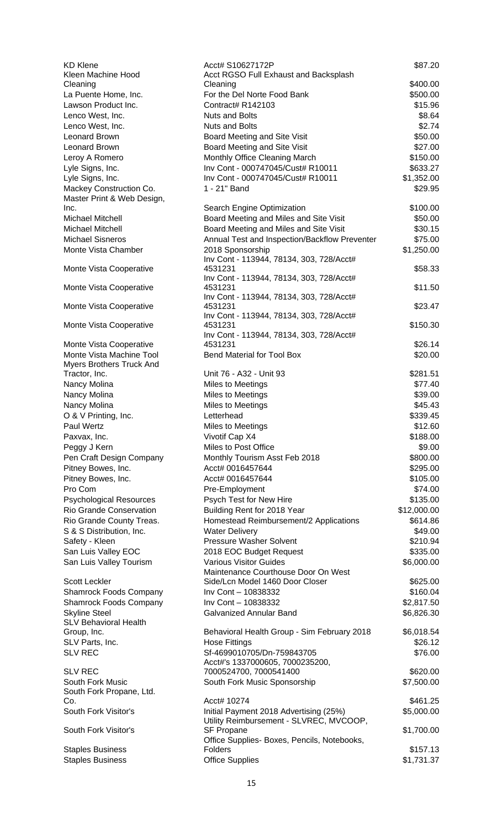| <b>KD Klene</b><br>Kleen Machine Hood                 | Acct# S10627172P<br>Acct RGSO Full Exhaust and Backsplash     | \$87.20     |
|-------------------------------------------------------|---------------------------------------------------------------|-------------|
| Cleaning                                              | Cleaning                                                      | \$400.00    |
| La Puente Home, Inc.                                  | For the Del Norte Food Bank                                   | \$500.00    |
| Lawson Product Inc.                                   | Contract# R142103                                             | \$15.96     |
| Lenco West, Inc.                                      | <b>Nuts and Bolts</b>                                         | \$8.64      |
| Lenco West, Inc.                                      | <b>Nuts and Bolts</b>                                         | \$2.74      |
| Leonard Brown                                         | Board Meeting and Site Visit                                  | \$50.00     |
| Leonard Brown                                         | Board Meeting and Site Visit                                  | \$27.00     |
| Leroy A Romero                                        | Monthly Office Cleaning March                                 | \$150.00    |
| Lyle Signs, Inc.                                      | Inv Cont - 000747045/Cust# R10011                             | \$633.27    |
| Lyle Signs, Inc.                                      | Inv Cont - 000747045/Cust# R10011                             | \$1,352.00  |
| Mackey Construction Co.<br>Master Print & Web Design, | 1 - 21" Band                                                  | \$29.95     |
| Inc.                                                  | Search Engine Optimization                                    | \$100.00    |
| <b>Michael Mitchell</b>                               | Board Meeting and Miles and Site Visit                        | \$50.00     |
| Michael Mitchell                                      | Board Meeting and Miles and Site Visit                        | \$30.15     |
| <b>Michael Sisneros</b>                               | Annual Test and Inspection/Backflow Preventer                 | \$75.00     |
| Monte Vista Chamber                                   | 2018 Sponsorship                                              | \$1,250.00  |
|                                                       | Inv Cont - 113944, 78134, 303, 728/Acct#                      |             |
| Monte Vista Cooperative                               | 4531231                                                       | \$58.33     |
| Monte Vista Cooperative                               | Inv Cont - 113944, 78134, 303, 728/Acct#<br>4531231           | \$11.50     |
|                                                       | Inv Cont - 113944, 78134, 303, 728/Acct#                      |             |
| Monte Vista Cooperative                               | 4531231                                                       | \$23.47     |
| Monte Vista Cooperative                               | Inv Cont - 113944, 78134, 303, 728/Acct#<br>4531231           | \$150.30    |
|                                                       | Inv Cont - 113944, 78134, 303, 728/Acct#                      |             |
| Monte Vista Cooperative                               | 4531231                                                       | \$26.14     |
| Monte Vista Machine Tool                              | <b>Bend Material for Tool Box</b>                             | \$20.00     |
| Myers Brothers Truck And                              |                                                               |             |
| Tractor, Inc.                                         | Unit 76 - A32 - Unit 93                                       | \$281.51    |
| Nancy Molina                                          | Miles to Meetings                                             | \$77.40     |
| Nancy Molina                                          | Miles to Meetings                                             | \$39.00     |
| Nancy Molina                                          | Miles to Meetings                                             | \$45.43     |
| O & V Printing, Inc.                                  | Letterhead                                                    | \$339.45    |
| Paul Wertz                                            | Miles to Meetings                                             | \$12.60     |
| Paxvax, Inc.                                          | Vivotif Cap X4                                                | \$188.00    |
| Peggy J Kern                                          | Miles to Post Office                                          | \$9.00      |
| Pen Craft Design Company                              | Monthly Tourism Asst Feb 2018                                 | \$800.00    |
| Pitney Bowes, Inc.                                    | Acct# 0016457644                                              | \$295.00    |
| Pitney Bowes, Inc.                                    | Acct# 0016457644                                              | \$105.00    |
| Pro Com                                               | Pre-Employment                                                | \$74.00     |
| <b>Psychological Resources</b>                        | Psych Test for New Hire                                       | \$135.00    |
| Rio Grande Conservation                               | Building Rent for 2018 Year                                   | \$12,000.00 |
| Rio Grande County Treas.                              | Homestead Reimbursement/2 Applications                        | \$614.86    |
| S & S Distribution, Inc.                              | <b>Water Delivery</b>                                         | \$49.00     |
| Safety - Kleen                                        | <b>Pressure Washer Solvent</b>                                | \$210.94    |
| San Luis Valley EOC                                   | 2018 EOC Budget Request                                       | \$335.00    |
| San Luis Valley Tourism                               | <b>Various Visitor Guides</b>                                 | \$6,000.00  |
|                                                       | Maintenance Courthouse Door On West                           |             |
| <b>Scott Leckler</b>                                  | Side/Lcn Model 1460 Door Closer                               | \$625.00    |
| <b>Shamrock Foods Company</b>                         | Inv Cont - 10838332                                           | \$160.04    |
| <b>Shamrock Foods Company</b>                         | Inv Cont - 10838332                                           | \$2,817.50  |
| <b>Skyline Steel</b>                                  | <b>Galvanized Annular Band</b>                                | \$6,826.30  |
| <b>SLV Behavioral Health</b>                          | Behavioral Health Group - Sim February 2018                   | \$6,018.54  |
| Group, Inc.<br>SLV Parts, Inc.                        | <b>Hose Fittings</b>                                          | \$26.12     |
| <b>SLV REC</b>                                        | Sf-4699010705/Dn-759843705                                    | \$76.00     |
|                                                       | Acct#'s 1337000605, 7000235200,                               |             |
| <b>SLV REC</b>                                        | 7000524700, 7000541400                                        | \$620.00    |
| South Fork Music                                      | South Fork Music Sponsorship                                  | \$7,500.00  |
| South Fork Propane, Ltd.                              |                                                               |             |
| Co.                                                   | Acct# 10274                                                   | \$461.25    |
| South Fork Visitor's                                  | Initial Payment 2018 Advertising (25%)                        | \$5,000.00  |
|                                                       | Utility Reimbursement - SLVREC, MVCOOP,                       |             |
| South Fork Visitor's                                  | SF Propane                                                    | \$1,700.00  |
|                                                       | Office Supplies- Boxes, Pencils, Notebooks,<br><b>Folders</b> |             |
| <b>Staples Business</b>                               |                                                               | \$157.13    |
| <b>Staples Business</b>                               | <b>Office Supplies</b>                                        | \$1,731.37  |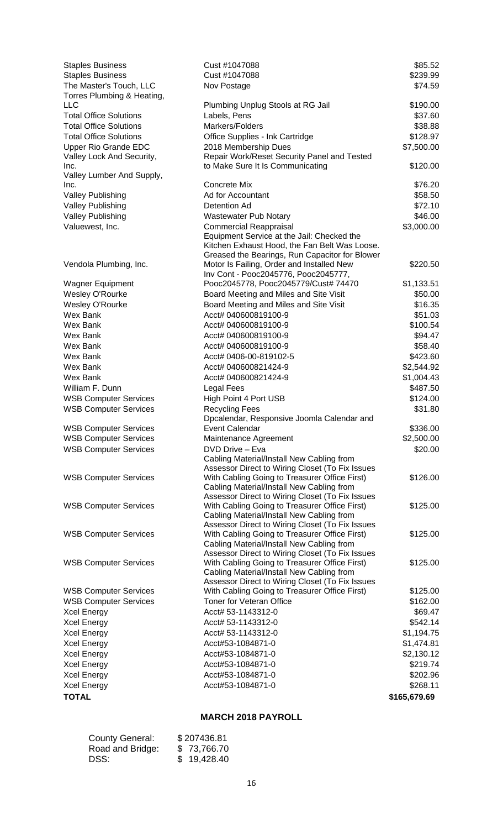| <b>Staples Business</b>           | Cust #1047088                                                                              | \$85.52      |
|-----------------------------------|--------------------------------------------------------------------------------------------|--------------|
| <b>Staples Business</b>           | Cust #1047088                                                                              | \$239.99     |
| The Master's Touch, LLC           | Nov Postage                                                                                | \$74.59      |
| Torres Plumbing & Heating,        |                                                                                            |              |
| LLC                               | Plumbing Unplug Stools at RG Jail                                                          | \$190.00     |
| <b>Total Office Solutions</b>     | Labels, Pens                                                                               | \$37.60      |
| <b>Total Office Solutions</b>     | Markers/Folders                                                                            | \$38.88      |
| <b>Total Office Solutions</b>     | Office Supplies - Ink Cartridge                                                            | \$128.97     |
| <b>Upper Rio Grande EDC</b>       | 2018 Membership Dues                                                                       | \$7,500.00   |
| Valley Lock And Security,         | Repair Work/Reset Security Panel and Tested                                                |              |
| Inc.                              | to Make Sure It Is Communicating                                                           | \$120.00     |
| Valley Lumber And Supply,<br>Inc. | Concrete Mix                                                                               | \$76.20      |
| Valley Publishing                 | Ad for Accountant                                                                          | \$58.50      |
| <b>Valley Publishing</b>          | Detention Ad                                                                               | \$72.10      |
| <b>Valley Publishing</b>          | <b>Wastewater Pub Notary</b>                                                               | \$46.00      |
| Valuewest, Inc.                   | <b>Commercial Reappraisal</b>                                                              | \$3,000.00   |
|                                   | Equipment Service at the Jail: Checked the                                                 |              |
|                                   | Kitchen Exhaust Hood, the Fan Belt Was Loose.                                              |              |
|                                   | Greased the Bearings, Run Capacitor for Blower                                             |              |
| Vendola Plumbing, Inc.            | Motor Is Failing, Order and Installed New                                                  | \$220.50     |
|                                   | Inv Cont - Pooc2045776, Pooc2045777,                                                       |              |
| <b>Wagner Equipment</b>           | Pooc2045778, Pooc2045779/Cust# 74470                                                       | \$1,133.51   |
| <b>Wesley O'Rourke</b>            | Board Meeting and Miles and Site Visit                                                     | \$50.00      |
| <b>Wesley O'Rourke</b>            | Board Meeting and Miles and Site Visit                                                     | \$16.35      |
| Wex Bank                          | Acct# 040600819100-9                                                                       | \$51.03      |
| <b>Wex Bank</b>                   | Acct# 040600819100-9                                                                       | \$100.54     |
| <b>Wex Bank</b>                   | Acct# 040600819100-9                                                                       | \$94.47      |
| <b>Wex Bank</b>                   | Acct# 040600819100-9                                                                       | \$58.40      |
| <b>Wex Bank</b>                   | Acct# 0406-00-819102-5                                                                     | \$423.60     |
| Wex Bank                          | Acct# 040600821424-9                                                                       | \$2,544.92   |
| <b>Wex Bank</b>                   | Acct# 040600821424-9                                                                       | \$1,004.43   |
| William F. Dunn                   | Legal Fees                                                                                 | \$487.50     |
| <b>WSB Computer Services</b>      | High Point 4 Port USB                                                                      | \$124.00     |
| <b>WSB Computer Services</b>      | <b>Recycling Fees</b>                                                                      | \$31.80      |
|                                   | Dpcalendar, Responsive Joomla Calendar and                                                 |              |
| <b>WSB Computer Services</b>      | Event Calendar                                                                             | \$336.00     |
| <b>WSB Computer Services</b>      | Maintenance Agreement                                                                      | \$2,500.00   |
| <b>WSB Computer Services</b>      | DVD Drive - Eva                                                                            | \$20.00      |
|                                   | Cabling Material/Install New Cabling from                                                  |              |
|                                   | Assessor Direct to Wiring Closet (To Fix Issues                                            |              |
| <b>WSB Computer Services</b>      | With Cabling Going to Treasurer Office First)                                              | \$126.00     |
|                                   | Cabling Material/Install New Cabling from                                                  |              |
|                                   | Assessor Direct to Wiring Closet (To Fix Issues                                            |              |
| <b>WSB Computer Services</b>      | With Cabling Going to Treasurer Office First)<br>Cabling Material/Install New Cabling from | \$125.00     |
|                                   | Assessor Direct to Wiring Closet (To Fix Issues                                            |              |
| <b>WSB Computer Services</b>      | With Cabling Going to Treasurer Office First)                                              | \$125.00     |
|                                   | Cabling Material/Install New Cabling from                                                  |              |
|                                   | Assessor Direct to Wiring Closet (To Fix Issues                                            |              |
| <b>WSB Computer Services</b>      | With Cabling Going to Treasurer Office First)                                              | \$125.00     |
|                                   | Cabling Material/Install New Cabling from                                                  |              |
|                                   | Assessor Direct to Wiring Closet (To Fix Issues                                            |              |
| <b>WSB Computer Services</b>      | With Cabling Going to Treasurer Office First)                                              | \$125.00     |
| <b>WSB Computer Services</b>      | Toner for Veteran Office                                                                   | \$162.00     |
| <b>Xcel Energy</b>                | Acct# 53-1143312-0                                                                         | \$69.47      |
| <b>Xcel Energy</b>                | Acct# 53-1143312-0                                                                         | \$542.14     |
| Xcel Energy                       | Acct# 53-1143312-0                                                                         | \$1,194.75   |
| <b>Xcel Energy</b>                | Acct#53-1084871-0                                                                          | \$1,474.81   |
| <b>Xcel Energy</b>                | Acct#53-1084871-0                                                                          | \$2,130.12   |
| <b>Xcel Energy</b>                | Acct#53-1084871-0                                                                          | \$219.74     |
| <b>Xcel Energy</b>                | Acct#53-1084871-0                                                                          | \$202.96     |
| <b>Xcel Energy</b>                | Acct#53-1084871-0                                                                          | \$268.11     |
| <b>TOTAL</b>                      |                                                                                            | \$165,679.69 |

## **MARCH 2018 PAYROLL**

| <b>County General:</b> | \$207436.81 |
|------------------------|-------------|
| Road and Bridge:       | \$73,766.70 |
| DSS:                   | \$19,428.40 |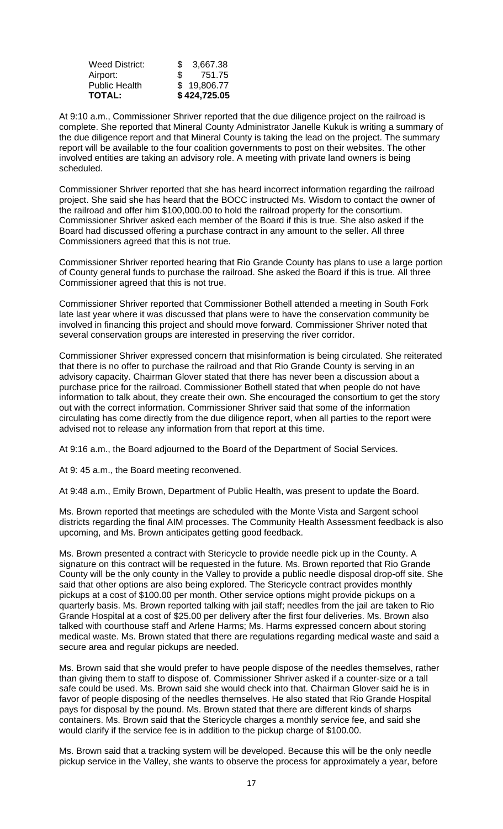| <b>TOTAL:</b>         |               | \$424,725.05 |
|-----------------------|---------------|--------------|
| <b>Public Health</b>  |               | \$19,806.77  |
| Airport:              | $\mathcal{F}$ | 751.75       |
| <b>Weed District:</b> | SS.           | 3.667.38     |
|                       |               |              |

At 9:10 a.m., Commissioner Shriver reported that the due diligence project on the railroad is complete. She reported that Mineral County Administrator Janelle Kukuk is writing a summary of the due diligence report and that Mineral County is taking the lead on the project. The summary report will be available to the four coalition governments to post on their websites. The other involved entities are taking an advisory role. A meeting with private land owners is being scheduled.

Commissioner Shriver reported that she has heard incorrect information regarding the railroad project. She said she has heard that the BOCC instructed Ms. Wisdom to contact the owner of the railroad and offer him \$100,000.00 to hold the railroad property for the consortium. Commissioner Shriver asked each member of the Board if this is true. She also asked if the Board had discussed offering a purchase contract in any amount to the seller. All three Commissioners agreed that this is not true.

Commissioner Shriver reported hearing that Rio Grande County has plans to use a large portion of County general funds to purchase the railroad. She asked the Board if this is true. All three Commissioner agreed that this is not true.

Commissioner Shriver reported that Commissioner Bothell attended a meeting in South Fork late last year where it was discussed that plans were to have the conservation community be involved in financing this project and should move forward. Commissioner Shriver noted that several conservation groups are interested in preserving the river corridor.

Commissioner Shriver expressed concern that misinformation is being circulated. She reiterated that there is no offer to purchase the railroad and that Rio Grande County is serving in an advisory capacity. Chairman Glover stated that there has never been a discussion about a purchase price for the railroad. Commissioner Bothell stated that when people do not have information to talk about, they create their own. She encouraged the consortium to get the story out with the correct information. Commissioner Shriver said that some of the information circulating has come directly from the due diligence report, when all parties to the report were advised not to release any information from that report at this time.

At 9:16 a.m., the Board adjourned to the Board of the Department of Social Services.

At 9: 45 a.m., the Board meeting reconvened.

At 9:48 a.m., Emily Brown, Department of Public Health, was present to update the Board.

Ms. Brown reported that meetings are scheduled with the Monte Vista and Sargent school districts regarding the final AIM processes. The Community Health Assessment feedback is also upcoming, and Ms. Brown anticipates getting good feedback.

Ms. Brown presented a contract with Stericycle to provide needle pick up in the County. A signature on this contract will be requested in the future. Ms. Brown reported that Rio Grande County will be the only county in the Valley to provide a public needle disposal drop-off site. She said that other options are also being explored. The Stericycle contract provides monthly pickups at a cost of \$100.00 per month. Other service options might provide pickups on a quarterly basis. Ms. Brown reported talking with jail staff; needles from the jail are taken to Rio Grande Hospital at a cost of \$25.00 per delivery after the first four deliveries. Ms. Brown also talked with courthouse staff and Arlene Harms; Ms. Harms expressed concern about storing medical waste. Ms. Brown stated that there are regulations regarding medical waste and said a secure area and regular pickups are needed.

Ms. Brown said that she would prefer to have people dispose of the needles themselves, rather than giving them to staff to dispose of. Commissioner Shriver asked if a counter-size or a tall safe could be used. Ms. Brown said she would check into that. Chairman Glover said he is in favor of people disposing of the needles themselves. He also stated that Rio Grande Hospital pays for disposal by the pound. Ms. Brown stated that there are different kinds of sharps containers. Ms. Brown said that the Stericycle charges a monthly service fee, and said she would clarify if the service fee is in addition to the pickup charge of \$100.00.

Ms. Brown said that a tracking system will be developed. Because this will be the only needle pickup service in the Valley, she wants to observe the process for approximately a year, before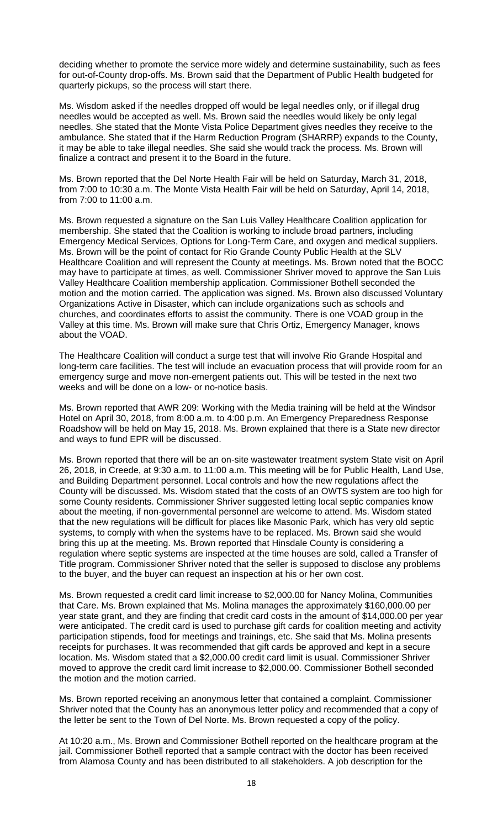deciding whether to promote the service more widely and determine sustainability, such as fees for out-of-County drop-offs. Ms. Brown said that the Department of Public Health budgeted for quarterly pickups, so the process will start there.

Ms. Wisdom asked if the needles dropped off would be legal needles only, or if illegal drug needles would be accepted as well. Ms. Brown said the needles would likely be only legal needles. She stated that the Monte Vista Police Department gives needles they receive to the ambulance. She stated that if the Harm Reduction Program (SHARRP) expands to the County, it may be able to take illegal needles. She said she would track the process. Ms. Brown will finalize a contract and present it to the Board in the future.

Ms. Brown reported that the Del Norte Health Fair will be held on Saturday, March 31, 2018, from 7:00 to 10:30 a.m. The Monte Vista Health Fair will be held on Saturday, April 14, 2018, from 7:00 to 11:00 a.m.

Ms. Brown requested a signature on the San Luis Valley Healthcare Coalition application for membership. She stated that the Coalition is working to include broad partners, including Emergency Medical Services, Options for Long-Term Care, and oxygen and medical suppliers. Ms. Brown will be the point of contact for Rio Grande County Public Health at the SLV Healthcare Coalition and will represent the County at meetings. Ms. Brown noted that the BOCC may have to participate at times, as well. Commissioner Shriver moved to approve the San Luis Valley Healthcare Coalition membership application. Commissioner Bothell seconded the motion and the motion carried. The application was signed. Ms. Brown also discussed Voluntary Organizations Active in Disaster, which can include organizations such as schools and churches, and coordinates efforts to assist the community. There is one VOAD group in the Valley at this time. Ms. Brown will make sure that Chris Ortiz, Emergency Manager, knows about the VOAD.

The Healthcare Coalition will conduct a surge test that will involve Rio Grande Hospital and long-term care facilities. The test will include an evacuation process that will provide room for an emergency surge and move non-emergent patients out. This will be tested in the next two weeks and will be done on a low- or no-notice basis.

Ms. Brown reported that AWR 209: Working with the Media training will be held at the Windsor Hotel on April 30, 2018, from 8:00 a.m. to 4:00 p.m. An Emergency Preparedness Response Roadshow will be held on May 15, 2018. Ms. Brown explained that there is a State new director and ways to fund EPR will be discussed.

Ms. Brown reported that there will be an on-site wastewater treatment system State visit on April 26, 2018, in Creede, at 9:30 a.m. to 11:00 a.m. This meeting will be for Public Health, Land Use, and Building Department personnel. Local controls and how the new regulations affect the County will be discussed. Ms. Wisdom stated that the costs of an OWTS system are too high for some County residents. Commissioner Shriver suggested letting local septic companies know about the meeting, if non-governmental personnel are welcome to attend. Ms. Wisdom stated that the new regulations will be difficult for places like Masonic Park, which has very old septic systems, to comply with when the systems have to be replaced. Ms. Brown said she would bring this up at the meeting. Ms. Brown reported that Hinsdale County is considering a regulation where septic systems are inspected at the time houses are sold, called a Transfer of Title program. Commissioner Shriver noted that the seller is supposed to disclose any problems to the buyer, and the buyer can request an inspection at his or her own cost.

Ms. Brown requested a credit card limit increase to \$2,000.00 for Nancy Molina, Communities that Care. Ms. Brown explained that Ms. Molina manages the approximately \$160,000.00 per year state grant, and they are finding that credit card costs in the amount of \$14,000.00 per year were anticipated. The credit card is used to purchase gift cards for coalition meeting and activity participation stipends, food for meetings and trainings, etc. She said that Ms. Molina presents receipts for purchases. It was recommended that gift cards be approved and kept in a secure location. Ms. Wisdom stated that a \$2,000.00 credit card limit is usual. Commissioner Shriver moved to approve the credit card limit increase to \$2,000.00. Commissioner Bothell seconded the motion and the motion carried.

Ms. Brown reported receiving an anonymous letter that contained a complaint. Commissioner Shriver noted that the County has an anonymous letter policy and recommended that a copy of the letter be sent to the Town of Del Norte. Ms. Brown requested a copy of the policy.

At 10:20 a.m., Ms. Brown and Commissioner Bothell reported on the healthcare program at the jail. Commissioner Bothell reported that a sample contract with the doctor has been received from Alamosa County and has been distributed to all stakeholders. A job description for the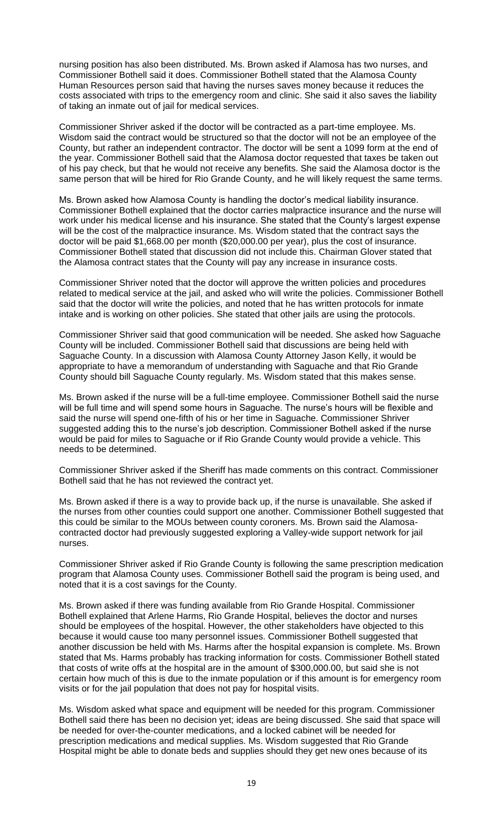nursing position has also been distributed. Ms. Brown asked if Alamosa has two nurses, and Commissioner Bothell said it does. Commissioner Bothell stated that the Alamosa County Human Resources person said that having the nurses saves money because it reduces the costs associated with trips to the emergency room and clinic. She said it also saves the liability of taking an inmate out of jail for medical services.

Commissioner Shriver asked if the doctor will be contracted as a part-time employee. Ms. Wisdom said the contract would be structured so that the doctor will not be an employee of the County, but rather an independent contractor. The doctor will be sent a 1099 form at the end of the year. Commissioner Bothell said that the Alamosa doctor requested that taxes be taken out of his pay check, but that he would not receive any benefits. She said the Alamosa doctor is the same person that will be hired for Rio Grande County, and he will likely request the same terms.

Ms. Brown asked how Alamosa County is handling the doctor's medical liability insurance. Commissioner Bothell explained that the doctor carries malpractice insurance and the nurse will work under his medical license and his insurance. She stated that the County's largest expense will be the cost of the malpractice insurance. Ms. Wisdom stated that the contract says the doctor will be paid \$1,668.00 per month (\$20,000.00 per year), plus the cost of insurance. Commissioner Bothell stated that discussion did not include this. Chairman Glover stated that the Alamosa contract states that the County will pay any increase in insurance costs.

Commissioner Shriver noted that the doctor will approve the written policies and procedures related to medical service at the jail, and asked who will write the policies. Commissioner Bothell said that the doctor will write the policies, and noted that he has written protocols for inmate intake and is working on other policies. She stated that other jails are using the protocols.

Commissioner Shriver said that good communication will be needed. She asked how Saguache County will be included. Commissioner Bothell said that discussions are being held with Saguache County. In a discussion with Alamosa County Attorney Jason Kelly, it would be appropriate to have a memorandum of understanding with Saguache and that Rio Grande County should bill Saguache County regularly. Ms. Wisdom stated that this makes sense.

Ms. Brown asked if the nurse will be a full-time employee. Commissioner Bothell said the nurse will be full time and will spend some hours in Saguache. The nurse's hours will be flexible and said the nurse will spend one-fifth of his or her time in Saguache. Commissioner Shriver suggested adding this to the nurse's job description. Commissioner Bothell asked if the nurse would be paid for miles to Saguache or if Rio Grande County would provide a vehicle. This needs to be determined.

Commissioner Shriver asked if the Sheriff has made comments on this contract. Commissioner Bothell said that he has not reviewed the contract yet.

Ms. Brown asked if there is a way to provide back up, if the nurse is unavailable. She asked if the nurses from other counties could support one another. Commissioner Bothell suggested that this could be similar to the MOUs between county coroners. Ms. Brown said the Alamosacontracted doctor had previously suggested exploring a Valley-wide support network for jail nurses.

Commissioner Shriver asked if Rio Grande County is following the same prescription medication program that Alamosa County uses. Commissioner Bothell said the program is being used, and noted that it is a cost savings for the County.

Ms. Brown asked if there was funding available from Rio Grande Hospital. Commissioner Bothell explained that Arlene Harms, Rio Grande Hospital, believes the doctor and nurses should be employees of the hospital. However, the other stakeholders have objected to this because it would cause too many personnel issues. Commissioner Bothell suggested that another discussion be held with Ms. Harms after the hospital expansion is complete. Ms. Brown stated that Ms. Harms probably has tracking information for costs. Commissioner Bothell stated that costs of write offs at the hospital are in the amount of \$300,000.00, but said she is not certain how much of this is due to the inmate population or if this amount is for emergency room visits or for the jail population that does not pay for hospital visits.

Ms. Wisdom asked what space and equipment will be needed for this program. Commissioner Bothell said there has been no decision yet; ideas are being discussed. She said that space will be needed for over-the-counter medications, and a locked cabinet will be needed for prescription medications and medical supplies. Ms. Wisdom suggested that Rio Grande Hospital might be able to donate beds and supplies should they get new ones because of its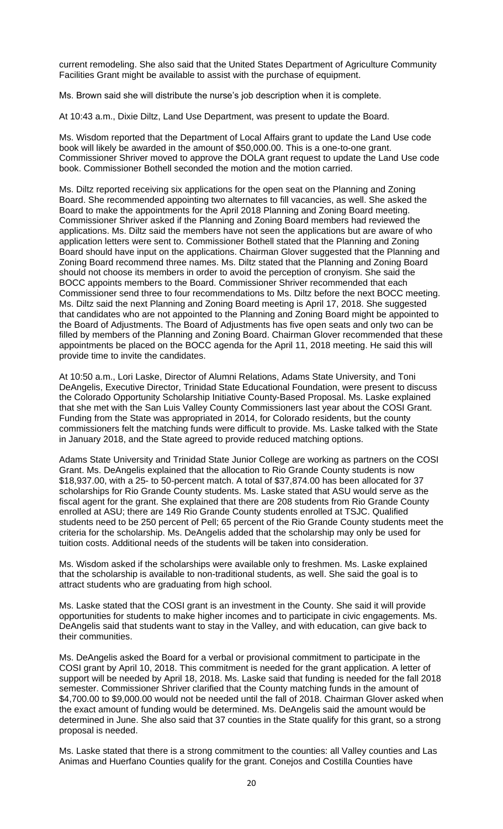current remodeling. She also said that the United States Department of Agriculture Community Facilities Grant might be available to assist with the purchase of equipment.

Ms. Brown said she will distribute the nurse's job description when it is complete.

At 10:43 a.m., Dixie Diltz, Land Use Department, was present to update the Board.

Ms. Wisdom reported that the Department of Local Affairs grant to update the Land Use code book will likely be awarded in the amount of \$50,000.00. This is a one-to-one grant. Commissioner Shriver moved to approve the DOLA grant request to update the Land Use code book. Commissioner Bothell seconded the motion and the motion carried.

Ms. Diltz reported receiving six applications for the open seat on the Planning and Zoning Board. She recommended appointing two alternates to fill vacancies, as well. She asked the Board to make the appointments for the April 2018 Planning and Zoning Board meeting. Commissioner Shriver asked if the Planning and Zoning Board members had reviewed the applications. Ms. Diltz said the members have not seen the applications but are aware of who application letters were sent to. Commissioner Bothell stated that the Planning and Zoning Board should have input on the applications. Chairman Glover suggested that the Planning and Zoning Board recommend three names. Ms. Diltz stated that the Planning and Zoning Board should not choose its members in order to avoid the perception of cronyism. She said the BOCC appoints members to the Board. Commissioner Shriver recommended that each Commissioner send three to four recommendations to Ms. Diltz before the next BOCC meeting. Ms. Diltz said the next Planning and Zoning Board meeting is April 17, 2018. She suggested that candidates who are not appointed to the Planning and Zoning Board might be appointed to the Board of Adjustments. The Board of Adjustments has five open seats and only two can be filled by members of the Planning and Zoning Board. Chairman Glover recommended that these appointments be placed on the BOCC agenda for the April 11, 2018 meeting. He said this will provide time to invite the candidates.

At 10:50 a.m., Lori Laske, Director of Alumni Relations, Adams State University, and Toni DeAngelis, Executive Director, Trinidad State Educational Foundation, were present to discuss the Colorado Opportunity Scholarship Initiative County-Based Proposal. Ms. Laske explained that she met with the San Luis Valley County Commissioners last year about the COSI Grant. Funding from the State was appropriated in 2014, for Colorado residents, but the county commissioners felt the matching funds were difficult to provide. Ms. Laske talked with the State in January 2018, and the State agreed to provide reduced matching options.

Adams State University and Trinidad State Junior College are working as partners on the COSI Grant. Ms. DeAngelis explained that the allocation to Rio Grande County students is now \$18,937.00, with a 25- to 50-percent match. A total of \$37,874.00 has been allocated for 37 scholarships for Rio Grande County students. Ms. Laske stated that ASU would serve as the fiscal agent for the grant. She explained that there are 208 students from Rio Grande County enrolled at ASU; there are 149 Rio Grande County students enrolled at TSJC. Qualified students need to be 250 percent of Pell; 65 percent of the Rio Grande County students meet the criteria for the scholarship. Ms. DeAngelis added that the scholarship may only be used for tuition costs. Additional needs of the students will be taken into consideration.

Ms. Wisdom asked if the scholarships were available only to freshmen. Ms. Laske explained that the scholarship is available to non-traditional students, as well. She said the goal is to attract students who are graduating from high school.

Ms. Laske stated that the COSI grant is an investment in the County. She said it will provide opportunities for students to make higher incomes and to participate in civic engagements. Ms. DeAngelis said that students want to stay in the Valley, and with education, can give back to their communities.

Ms. DeAngelis asked the Board for a verbal or provisional commitment to participate in the COSI grant by April 10, 2018. This commitment is needed for the grant application. A letter of support will be needed by April 18, 2018. Ms. Laske said that funding is needed for the fall 2018 semester. Commissioner Shriver clarified that the County matching funds in the amount of \$4,700.00 to \$9,000.00 would not be needed until the fall of 2018. Chairman Glover asked when the exact amount of funding would be determined. Ms. DeAngelis said the amount would be determined in June. She also said that 37 counties in the State qualify for this grant, so a strong proposal is needed.

Ms. Laske stated that there is a strong commitment to the counties: all Valley counties and Las Animas and Huerfano Counties qualify for the grant. Conejos and Costilla Counties have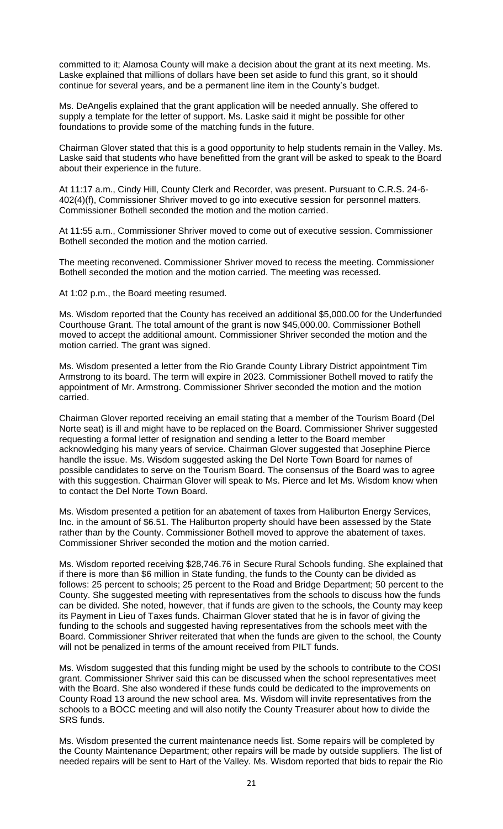committed to it; Alamosa County will make a decision about the grant at its next meeting. Ms. Laske explained that millions of dollars have been set aside to fund this grant, so it should continue for several years, and be a permanent line item in the County's budget.

Ms. DeAngelis explained that the grant application will be needed annually. She offered to supply a template for the letter of support. Ms. Laske said it might be possible for other foundations to provide some of the matching funds in the future.

Chairman Glover stated that this is a good opportunity to help students remain in the Valley. Ms. Laske said that students who have benefitted from the grant will be asked to speak to the Board about their experience in the future.

At 11:17 a.m., Cindy Hill, County Clerk and Recorder, was present. Pursuant to C.R.S. 24-6- 402(4)(f), Commissioner Shriver moved to go into executive session for personnel matters. Commissioner Bothell seconded the motion and the motion carried.

At 11:55 a.m., Commissioner Shriver moved to come out of executive session. Commissioner Bothell seconded the motion and the motion carried.

The meeting reconvened. Commissioner Shriver moved to recess the meeting. Commissioner Bothell seconded the motion and the motion carried. The meeting was recessed.

At 1:02 p.m., the Board meeting resumed.

Ms. Wisdom reported that the County has received an additional \$5,000.00 for the Underfunded Courthouse Grant. The total amount of the grant is now \$45,000.00. Commissioner Bothell moved to accept the additional amount. Commissioner Shriver seconded the motion and the motion carried. The grant was signed.

Ms. Wisdom presented a letter from the Rio Grande County Library District appointment Tim Armstrong to its board. The term will expire in 2023. Commissioner Bothell moved to ratify the appointment of Mr. Armstrong. Commissioner Shriver seconded the motion and the motion carried.

Chairman Glover reported receiving an email stating that a member of the Tourism Board (Del Norte seat) is ill and might have to be replaced on the Board. Commissioner Shriver suggested requesting a formal letter of resignation and sending a letter to the Board member acknowledging his many years of service. Chairman Glover suggested that Josephine Pierce handle the issue. Ms. Wisdom suggested asking the Del Norte Town Board for names of possible candidates to serve on the Tourism Board. The consensus of the Board was to agree with this suggestion. Chairman Glover will speak to Ms. Pierce and let Ms. Wisdom know when to contact the Del Norte Town Board.

Ms. Wisdom presented a petition for an abatement of taxes from Haliburton Energy Services, Inc. in the amount of \$6.51. The Haliburton property should have been assessed by the State rather than by the County. Commissioner Bothell moved to approve the abatement of taxes. Commissioner Shriver seconded the motion and the motion carried.

Ms. Wisdom reported receiving \$28,746.76 in Secure Rural Schools funding. She explained that if there is more than \$6 million in State funding, the funds to the County can be divided as follows: 25 percent to schools; 25 percent to the Road and Bridge Department; 50 percent to the County. She suggested meeting with representatives from the schools to discuss how the funds can be divided. She noted, however, that if funds are given to the schools, the County may keep its Payment in Lieu of Taxes funds. Chairman Glover stated that he is in favor of giving the funding to the schools and suggested having representatives from the schools meet with the Board. Commissioner Shriver reiterated that when the funds are given to the school, the County will not be penalized in terms of the amount received from PILT funds.

Ms. Wisdom suggested that this funding might be used by the schools to contribute to the COSI grant. Commissioner Shriver said this can be discussed when the school representatives meet with the Board. She also wondered if these funds could be dedicated to the improvements on County Road 13 around the new school area. Ms. Wisdom will invite representatives from the schools to a BOCC meeting and will also notify the County Treasurer about how to divide the SRS funds.

Ms. Wisdom presented the current maintenance needs list. Some repairs will be completed by the County Maintenance Department; other repairs will be made by outside suppliers. The list of needed repairs will be sent to Hart of the Valley. Ms. Wisdom reported that bids to repair the Rio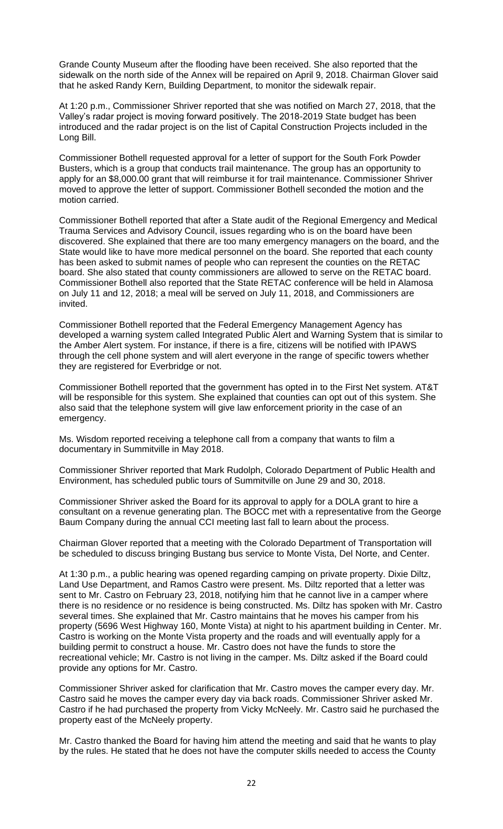Grande County Museum after the flooding have been received. She also reported that the sidewalk on the north side of the Annex will be repaired on April 9, 2018. Chairman Glover said that he asked Randy Kern, Building Department, to monitor the sidewalk repair.

At 1:20 p.m., Commissioner Shriver reported that she was notified on March 27, 2018, that the Valley's radar project is moving forward positively. The 2018-2019 State budget has been introduced and the radar project is on the list of Capital Construction Projects included in the Long Bill.

Commissioner Bothell requested approval for a letter of support for the South Fork Powder Busters, which is a group that conducts trail maintenance. The group has an opportunity to apply for an \$8,000.00 grant that will reimburse it for trail maintenance. Commissioner Shriver moved to approve the letter of support. Commissioner Bothell seconded the motion and the motion carried.

Commissioner Bothell reported that after a State audit of the Regional Emergency and Medical Trauma Services and Advisory Council, issues regarding who is on the board have been discovered. She explained that there are too many emergency managers on the board, and the State would like to have more medical personnel on the board. She reported that each county has been asked to submit names of people who can represent the counties on the RETAC board. She also stated that county commissioners are allowed to serve on the RETAC board. Commissioner Bothell also reported that the State RETAC conference will be held in Alamosa on July 11 and 12, 2018; a meal will be served on July 11, 2018, and Commissioners are invited.

Commissioner Bothell reported that the Federal Emergency Management Agency has developed a warning system called Integrated Public Alert and Warning System that is similar to the Amber Alert system. For instance, if there is a fire, citizens will be notified with IPAWS through the cell phone system and will alert everyone in the range of specific towers whether they are registered for Everbridge or not.

Commissioner Bothell reported that the government has opted in to the First Net system. AT&T will be responsible for this system. She explained that counties can opt out of this system. She also said that the telephone system will give law enforcement priority in the case of an emergency.

Ms. Wisdom reported receiving a telephone call from a company that wants to film a documentary in Summitville in May 2018.

Commissioner Shriver reported that Mark Rudolph, Colorado Department of Public Health and Environment, has scheduled public tours of Summitville on June 29 and 30, 2018.

Commissioner Shriver asked the Board for its approval to apply for a DOLA grant to hire a consultant on a revenue generating plan. The BOCC met with a representative from the George Baum Company during the annual CCI meeting last fall to learn about the process.

Chairman Glover reported that a meeting with the Colorado Department of Transportation will be scheduled to discuss bringing Bustang bus service to Monte Vista, Del Norte, and Center.

At 1:30 p.m., a public hearing was opened regarding camping on private property. Dixie Diltz, Land Use Department, and Ramos Castro were present. Ms. Diltz reported that a letter was sent to Mr. Castro on February 23, 2018, notifying him that he cannot live in a camper where there is no residence or no residence is being constructed. Ms. Diltz has spoken with Mr. Castro several times. She explained that Mr. Castro maintains that he moves his camper from his property (5696 West Highway 160, Monte Vista) at night to his apartment building in Center. Mr. Castro is working on the Monte Vista property and the roads and will eventually apply for a building permit to construct a house. Mr. Castro does not have the funds to store the recreational vehicle; Mr. Castro is not living in the camper. Ms. Diltz asked if the Board could provide any options for Mr. Castro.

Commissioner Shriver asked for clarification that Mr. Castro moves the camper every day. Mr. Castro said he moves the camper every day via back roads. Commissioner Shriver asked Mr. Castro if he had purchased the property from Vicky McNeely. Mr. Castro said he purchased the property east of the McNeely property.

Mr. Castro thanked the Board for having him attend the meeting and said that he wants to play by the rules. He stated that he does not have the computer skills needed to access the County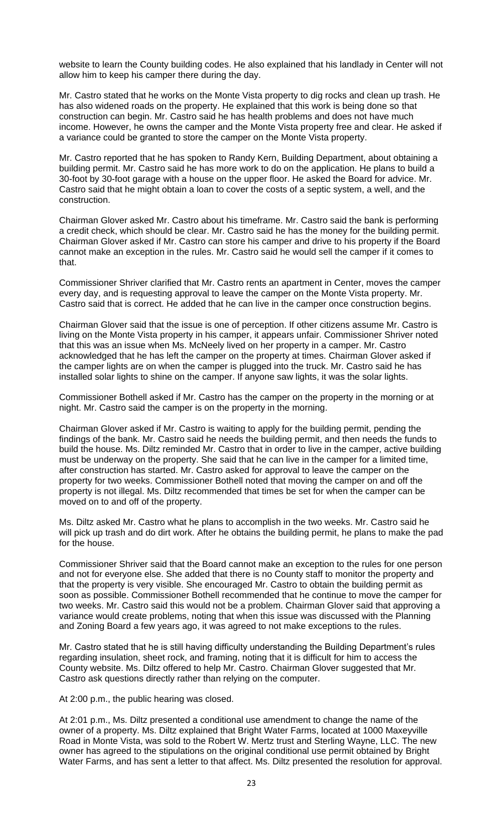website to learn the County building codes. He also explained that his landlady in Center will not allow him to keep his camper there during the day.

Mr. Castro stated that he works on the Monte Vista property to dig rocks and clean up trash. He has also widened roads on the property. He explained that this work is being done so that construction can begin. Mr. Castro said he has health problems and does not have much income. However, he owns the camper and the Monte Vista property free and clear. He asked if a variance could be granted to store the camper on the Monte Vista property.

Mr. Castro reported that he has spoken to Randy Kern, Building Department, about obtaining a building permit. Mr. Castro said he has more work to do on the application. He plans to build a 30-foot by 30-foot garage with a house on the upper floor. He asked the Board for advice. Mr. Castro said that he might obtain a loan to cover the costs of a septic system, a well, and the construction.

Chairman Glover asked Mr. Castro about his timeframe. Mr. Castro said the bank is performing a credit check, which should be clear. Mr. Castro said he has the money for the building permit. Chairman Glover asked if Mr. Castro can store his camper and drive to his property if the Board cannot make an exception in the rules. Mr. Castro said he would sell the camper if it comes to that.

Commissioner Shriver clarified that Mr. Castro rents an apartment in Center, moves the camper every day, and is requesting approval to leave the camper on the Monte Vista property. Mr. Castro said that is correct. He added that he can live in the camper once construction begins.

Chairman Glover said that the issue is one of perception. If other citizens assume Mr. Castro is living on the Monte Vista property in his camper, it appears unfair. Commissioner Shriver noted that this was an issue when Ms. McNeely lived on her property in a camper. Mr. Castro acknowledged that he has left the camper on the property at times. Chairman Glover asked if the camper lights are on when the camper is plugged into the truck. Mr. Castro said he has installed solar lights to shine on the camper. If anyone saw lights, it was the solar lights.

Commissioner Bothell asked if Mr. Castro has the camper on the property in the morning or at night. Mr. Castro said the camper is on the property in the morning.

Chairman Glover asked if Mr. Castro is waiting to apply for the building permit, pending the findings of the bank. Mr. Castro said he needs the building permit, and then needs the funds to build the house. Ms. Diltz reminded Mr. Castro that in order to live in the camper, active building must be underway on the property. She said that he can live in the camper for a limited time, after construction has started. Mr. Castro asked for approval to leave the camper on the property for two weeks. Commissioner Bothell noted that moving the camper on and off the property is not illegal. Ms. Diltz recommended that times be set for when the camper can be moved on to and off of the property.

Ms. Diltz asked Mr. Castro what he plans to accomplish in the two weeks. Mr. Castro said he will pick up trash and do dirt work. After he obtains the building permit, he plans to make the pad for the house.

Commissioner Shriver said that the Board cannot make an exception to the rules for one person and not for everyone else. She added that there is no County staff to monitor the property and that the property is very visible. She encouraged Mr. Castro to obtain the building permit as soon as possible. Commissioner Bothell recommended that he continue to move the camper for two weeks. Mr. Castro said this would not be a problem. Chairman Glover said that approving a variance would create problems, noting that when this issue was discussed with the Planning and Zoning Board a few years ago, it was agreed to not make exceptions to the rules.

Mr. Castro stated that he is still having difficulty understanding the Building Department's rules regarding insulation, sheet rock, and framing, noting that it is difficult for him to access the County website. Ms. Diltz offered to help Mr. Castro. Chairman Glover suggested that Mr. Castro ask questions directly rather than relying on the computer.

At 2:00 p.m., the public hearing was closed.

At 2:01 p.m., Ms. Diltz presented a conditional use amendment to change the name of the owner of a property. Ms. Diltz explained that Bright Water Farms, located at 1000 Maxeyville Road in Monte Vista, was sold to the Robert W. Mertz trust and Sterling Wayne, LLC. The new owner has agreed to the stipulations on the original conditional use permit obtained by Bright Water Farms, and has sent a letter to that affect. Ms. Diltz presented the resolution for approval.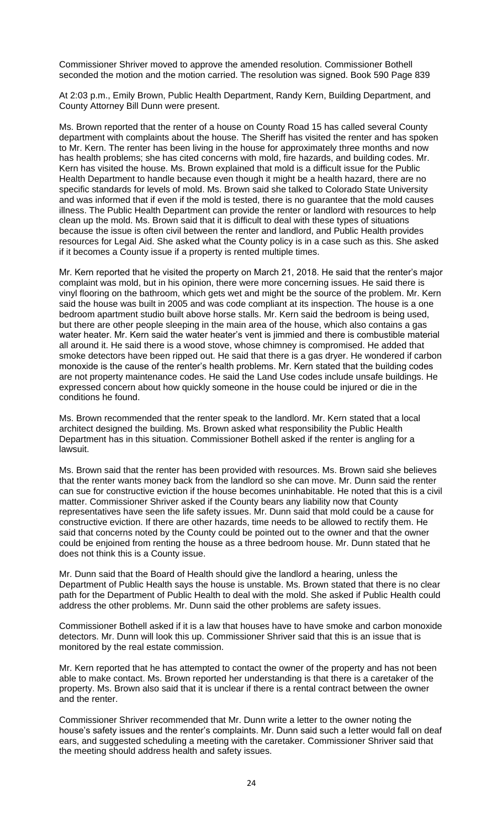Commissioner Shriver moved to approve the amended resolution. Commissioner Bothell seconded the motion and the motion carried. The resolution was signed. Book 590 Page 839

At 2:03 p.m., Emily Brown, Public Health Department, Randy Kern, Building Department, and County Attorney Bill Dunn were present.

Ms. Brown reported that the renter of a house on County Road 15 has called several County department with complaints about the house. The Sheriff has visited the renter and has spoken to Mr. Kern. The renter has been living in the house for approximately three months and now has health problems; she has cited concerns with mold, fire hazards, and building codes. Mr. Kern has visited the house. Ms. Brown explained that mold is a difficult issue for the Public Health Department to handle because even though it might be a health hazard, there are no specific standards for levels of mold. Ms. Brown said she talked to Colorado State University and was informed that if even if the mold is tested, there is no guarantee that the mold causes illness. The Public Health Department can provide the renter or landlord with resources to help clean up the mold. Ms. Brown said that it is difficult to deal with these types of situations because the issue is often civil between the renter and landlord, and Public Health provides resources for Legal Aid. She asked what the County policy is in a case such as this. She asked if it becomes a County issue if a property is rented multiple times.

Mr. Kern reported that he visited the property on March 21, 2018. He said that the renter's major complaint was mold, but in his opinion, there were more concerning issues. He said there is vinyl flooring on the bathroom, which gets wet and might be the source of the problem. Mr. Kern said the house was built in 2005 and was code compliant at its inspection. The house is a one bedroom apartment studio built above horse stalls. Mr. Kern said the bedroom is being used, but there are other people sleeping in the main area of the house, which also contains a gas water heater. Mr. Kern said the water heater's vent is jimmied and there is combustible material all around it. He said there is a wood stove, whose chimney is compromised. He added that smoke detectors have been ripped out. He said that there is a gas dryer. He wondered if carbon monoxide is the cause of the renter's health problems. Mr. Kern stated that the building codes are not property maintenance codes. He said the Land Use codes include unsafe buildings. He expressed concern about how quickly someone in the house could be injured or die in the conditions he found.

Ms. Brown recommended that the renter speak to the landlord. Mr. Kern stated that a local architect designed the building. Ms. Brown asked what responsibility the Public Health Department has in this situation. Commissioner Bothell asked if the renter is angling for a lawsuit.

Ms. Brown said that the renter has been provided with resources. Ms. Brown said she believes that the renter wants money back from the landlord so she can move. Mr. Dunn said the renter can sue for constructive eviction if the house becomes uninhabitable. He noted that this is a civil matter. Commissioner Shriver asked if the County bears any liability now that County representatives have seen the life safety issues. Mr. Dunn said that mold could be a cause for constructive eviction. If there are other hazards, time needs to be allowed to rectify them. He said that concerns noted by the County could be pointed out to the owner and that the owner could be enjoined from renting the house as a three bedroom house. Mr. Dunn stated that he does not think this is a County issue.

Mr. Dunn said that the Board of Health should give the landlord a hearing, unless the Department of Public Health says the house is unstable. Ms. Brown stated that there is no clear path for the Department of Public Health to deal with the mold. She asked if Public Health could address the other problems. Mr. Dunn said the other problems are safety issues.

Commissioner Bothell asked if it is a law that houses have to have smoke and carbon monoxide detectors. Mr. Dunn will look this up. Commissioner Shriver said that this is an issue that is monitored by the real estate commission.

Mr. Kern reported that he has attempted to contact the owner of the property and has not been able to make contact. Ms. Brown reported her understanding is that there is a caretaker of the property. Ms. Brown also said that it is unclear if there is a rental contract between the owner and the renter.

Commissioner Shriver recommended that Mr. Dunn write a letter to the owner noting the house's safety issues and the renter's complaints. Mr. Dunn said such a letter would fall on deaf ears, and suggested scheduling a meeting with the caretaker. Commissioner Shriver said that the meeting should address health and safety issues.